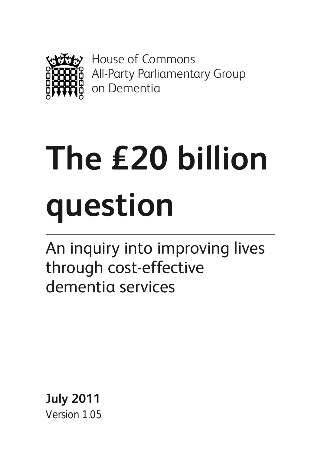

House of Commons All-Party Parliamentary Group on Dementia

# **The £20 billion question**

An inquiry into improving lives through cost-effective dementia services

**July 2011** Version 1.05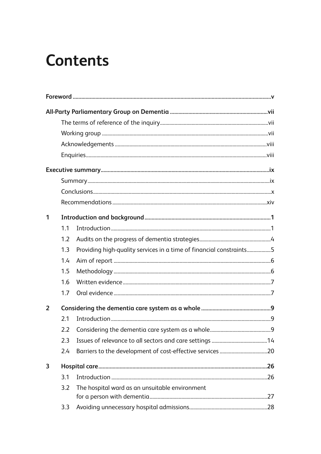# **Contents**

| 1              |                  |                                                                     |  |
|----------------|------------------|---------------------------------------------------------------------|--|
|                | 1.1              |                                                                     |  |
|                | 1.2              |                                                                     |  |
|                | 1.3              | Providing high-quality services in a time of financial constraints5 |  |
|                | 1.4              |                                                                     |  |
|                | 1.5              |                                                                     |  |
|                | 1.6              |                                                                     |  |
|                | 1.7              |                                                                     |  |
| $\overline{2}$ |                  |                                                                     |  |
|                | 2.1              |                                                                     |  |
|                | $2.2\phantom{0}$ |                                                                     |  |
|                | 2.3              |                                                                     |  |
|                | 2.4              |                                                                     |  |
| 3              |                  |                                                                     |  |
|                | 3.1              |                                                                     |  |
|                | 3.2              | The hospital ward as an unsuitable environment                      |  |
|                | 3.3              |                                                                     |  |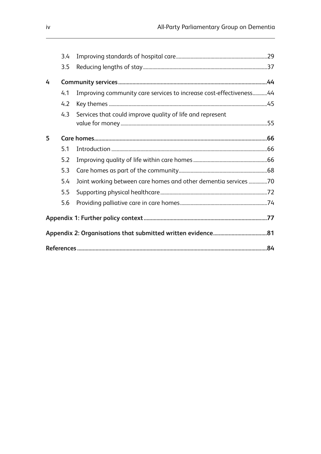|   | 3.4 |                                                                    |  |  |
|---|-----|--------------------------------------------------------------------|--|--|
|   | 3.5 |                                                                    |  |  |
| 4 |     |                                                                    |  |  |
|   | 4.1 | Improving community care services to increase cost-effectiveness44 |  |  |
|   | 4.2 |                                                                    |  |  |
|   | 4.3 | Services that could improve quality of life and represent          |  |  |
| 5 |     |                                                                    |  |  |
|   | 5.1 |                                                                    |  |  |
|   | 5.2 |                                                                    |  |  |
|   | 5.3 |                                                                    |  |  |
|   | 5.4 | Joint working between care homes and other dementia services 70    |  |  |
|   | 5.5 |                                                                    |  |  |
|   | 5.6 |                                                                    |  |  |
|   |     |                                                                    |  |  |
|   |     |                                                                    |  |  |
|   |     |                                                                    |  |  |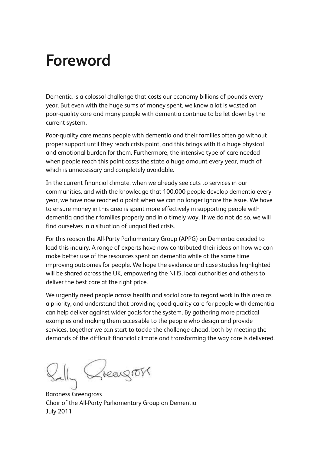# **Foreword**

Dementia is a colossal challenge that costs our economy billions of pounds every year. But even with the huge sums of money spent, we know a lot is wasted on poor-quality care and many people with dementia continue to be let down by the current system.

Poor-quality care means people with dementia and their families often go without proper support until they reach crisis point, and this brings with it a huge physical and emotional burden for them. Furthermore, the intensive type of care needed when people reach this point costs the state a huge amount every year, much of which is unnecessary and completely avoidable.

In the current financial climate, when we already see cuts to services in our communities, and with the knowledge that 100,000 people develop dementia every year, we have now reached a point when we can no longer ignore the issue. We have to ensure money in this area is spent more effectively in supporting people with dementia and their families properly and in a timely way. If we do not do so, we will find ourselves in a situation of unqualified crisis.

For this reason the All-Party Parliamentary Group (APPG) on Dementia decided to lead this inquiry. A range of experts have now contributed their ideas on how we can make better use of the resources spent on dementia while at the same time improving outcomes for people. We hope the evidence and case studies highlighted will be shared across the UK, empowering the NHS, local authorities and others to deliver the best care at the right price.

We urgently need people across health and social care to regard work in this area as a priority, and understand that providing good-quality care for people with dementia can help deliver against wider goals for the system. By gathering more practical examples and making them accessible to the people who design and provide services, together we can start to tackle the challenge ahead, both by meeting the demands of the difficult financial climate and transforming the way care is delivered.

reagros

Baroness Greengross Chair of the All-Party Parliamentary Group on Dementia July 2011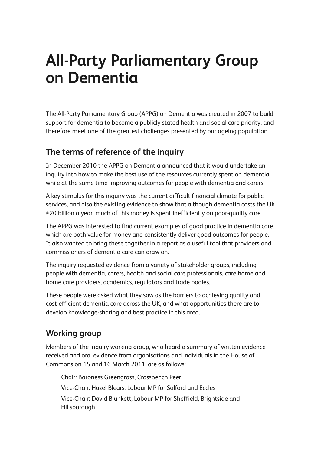# **All-Party Parliamentary Group on Dementia**

The All-Party Parliamentary Group (APPG) on Dementia was created in 2007 to build support for dementia to become a publicly stated health and social care priority, and therefore meet one of the greatest challenges presented by our ageing population.

# **The terms of reference of the inquiry**

In December 2010 the APPG on Dementia announced that it would undertake an inquiry into how to make the best use of the resources currently spent on dementia while at the same time improving outcomes for people with dementia and carers.

A key stimulus for this inquiry was the current difficult financial climate for public services, and also the existing evidence to show that although dementia costs the UK £20 billion a year, much of this money is spent inefficiently on poor-quality care.

The APPG was interested to find current examples of good practice in dementia care, which are both value for money and consistently deliver good outcomes for people. It also wanted to bring these together in a report as a useful tool that providers and commissioners of dementia care can draw on.

The inquiry requested evidence from a variety of stakeholder groups, including people with dementia, carers, health and social care professionals, care home and home care providers, academics, regulators and trade bodies.

These people were asked what they saw as the barriers to achieving quality and cost-efficient dementia care across the UK, and what opportunities there are to develop knowledge-sharing and best practice in this area.

# **Working group**

Members of the inquiry working group, who heard a summary of written evidence received and oral evidence from organisations and individuals in the House of Commons on 15 and 16 March 2011, are as follows:

Chair: Baroness Greengross, Crossbench Peer Vice-Chair: Hazel Blears, Labour MP for Salford and Eccles Vice-Chair: David Blunkett, Labour MP for Sheffield, Brightside and Hillsborough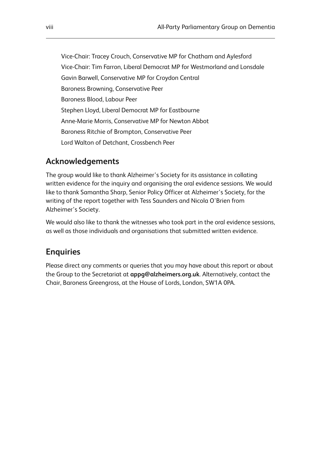Vice-Chair: Tracey Crouch, Conservative MP for Chatham and Aylesford Vice-Chair: Tim Farron, Liberal Democrat MP for Westmorland and Lonsdale Gavin Barwell, Conservative MP for Croydon Central Baroness Browning, Conservative Peer Baroness Blood, Labour Peer Stephen Lloyd, Liberal Democrat MP for Eastbourne Anne-Marie Morris, Conservative MP for Newton Abbot Baroness Ritchie of Brompton, Conservative Peer Lord Walton of Detchant, Crossbench Peer

# **Acknowledgements**

The group would like to thank Alzheimer's Society for its assistance in collating written evidence for the inquiry and organising the oral evidence sessions. We would like to thank Samantha Sharp, Senior Policy Officer at Alzheimer's Society, for the writing of the report together with Tess Saunders and Nicola O'Brien from Alzheimer's Society.

We would also like to thank the witnesses who took part in the oral evidence sessions, as well as those individuals and organisations that submitted written evidence.

# **Enquiries**

Please direct any comments or queries that you may have about this report or about the Group to the Secretariat at **appg@alzheimers.org.uk**. Alternatively, contact the Chair, Baroness Greengross, at the House of Lords, London, SW1A 0PA.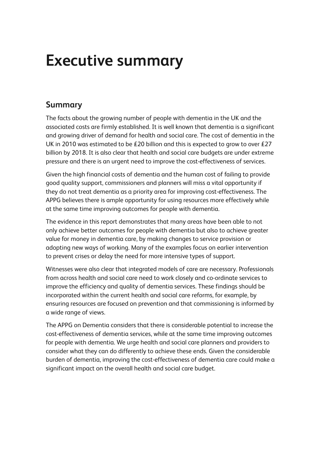# **Executive summary**

# **Summary**

The facts about the growing number of people with dementia in the UK and the associated costs are firmly established. It is well known that dementia is a significant and growing driver of demand for health and social care. The cost of dementia in the UK in 2010 was estimated to be £20 billion and this is expected to grow to over £27 billion by 2018. It is also clear that health and social care budgets are under extreme pressure and there is an urgent need to improve the cost-effectiveness of services.

Given the high financial costs of dementia and the human cost of failing to provide good quality support, commissioners and planners will miss a vital opportunity if they do not treat dementia as a priority area for improving cost-effectiveness. The APPG believes there is ample opportunity for using resources more effectively while at the same time improving outcomes for people with dementia.

The evidence in this report demonstrates that many areas have been able to not only achieve better outcomes for people with dementia but also to achieve greater value for money in dementia care, by making changes to service provision or adopting new ways of working. Many of the examples focus on earlier intervention to prevent crises or delay the need for more intensive types of support.

Witnesses were also clear that integrated models of care are necessary. Professionals from across health and social care need to work closely and co-ordinate services to improve the efficiency and quality of dementia services. These findings should be incorporated within the current health and social care reforms, for example, by ensuring resources are focused on prevention and that commissioning is informed by a wide range of views.

The APPG on Dementia considers that there is considerable potential to increase the cost-effectiveness of dementia services, while at the same time improving outcomes for people with dementia. We urge health and social care planners and providers to consider what they can do differently to achieve these ends. Given the considerable burden of dementia, improving the cost-effectiveness of dementia care could make a significant impact on the overall health and social care budget.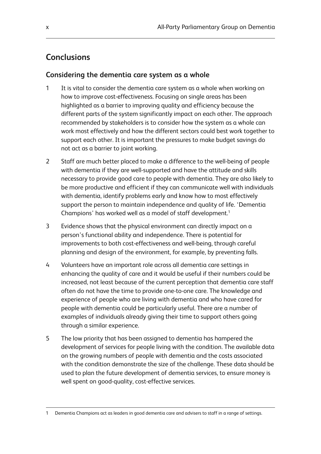# **Conclusions**

## **Considering the dementia care system as a whole**

- 1 It is vital to consider the dementia care system as a whole when working on how to improve cost-effectiveness. Focusing on single areas has been highlighted as a barrier to improving quality and efficiency because the different parts of the system significantly impact on each other. The approach recommended by stakeholders is to consider how the system as a whole can work most effectively and how the different sectors could best work together to support each other. It is important the pressures to make budget savings do not act as a barrier to joint working.
- 2 Staff are much better placed to make a difference to the well-being of people with dementia if they are well-supported and have the attitude and skills necessary to provide good care to people with dementia. They are also likely to be more productive and efficient if they can communicate well with individuals with dementia, identify problems early and know how to most effectively support the person to maintain independence and quality of life. 'Dementia Champions' has worked well as a model of staff development.<sup>1</sup>
- 3 Evidence shows that the physical environment can directly impact on a person's functional ability and independence. There is potential for improvements to both cost-effectiveness and well-being, through careful planning and design of the environment, for example, by preventing falls.
- 4 Volunteers have an important role across all dementia care settings in enhancing the quality of care and it would be useful if their numbers could be increased, not least because of the current perception that dementia care staff often do not have the time to provide one-to-one care. The knowledge and experience of people who are living with dementia and who have cared for people with dementia could be particularly useful. There are a number of examples of individuals already giving their time to support others going through a similar experience.
- 5 The low priority that has been assigned to dementia has hampered the development of services for people living with the condition. The available data on the growing numbers of people with dementia and the costs associated with the condition demonstrate the size of the challenge. These data should be used to plan the future development of dementia services, to ensure money is well spent on good-quality, cost-effective services.

Dementia Champions act as leaders in good dementia care and advisers to staff in a range of settings.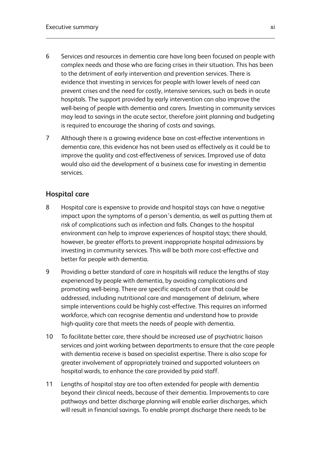- 6 Services and resources in dementia care have long been focused on people with complex needs and those who are facing crises in their situation. This has been to the detriment of early intervention and prevention services. There is evidence that investing in services for people with lower levels of need can prevent crises and the need for costly, intensive services, such as beds in acute hospitals. The support provided by early intervention can also improve the well-being of people with dementia and carers. Investing in community services may lead to savings in the acute sector, therefore joint planning and budgeting is required to encourage the sharing of costs and savings.
- 7 Although there is a growing evidence base on cost-effective interventions in dementia care, this evidence has not been used as effectively as it could be to improve the quality and cost-effectiveness of services. Improved use of data would also aid the development of a business case for investing in dementia services.

# **Hospital care**

- 8 Hospital care is expensive to provide and hospital stays can have a negative impact upon the symptoms of a person's dementia, as well as putting them at risk of complications such as infection and falls. Changes to the hospital environment can help to improve experiences of hospital stays; there should, however, be greater efforts to prevent inappropriate hospital admissions by investing in community services. This will be both more cost-effective and better for people with dementia.
- 9 Providing a better standard of care in hospitals will reduce the lengths of stay experienced by people with dementia, by avoiding complications and promoting well-being. There are specific aspects of care that could be addressed, including nutritional care and management of delirium, where simple interventions could be highly cost-effective. This requires an informed workforce, which can recognise dementia and understand how to provide high-quality care that meets the needs of people with dementia.
- 10 To facilitate better care, there should be increased use of psychiatric liaison services and joint working between departments to ensure that the care people with dementia receive is based on specialist expertise. There is also scope for greater involvement of appropriately trained and supported volunteers on hospital wards, to enhance the care provided by paid staff.
- 11 Lengths of hospital stay are too often extended for people with dementia beyond their clinical needs, because of their dementia. Improvements to care pathways and better discharge planning will enable earlier discharges, which will result in financial savings. To enable prompt discharge there needs to be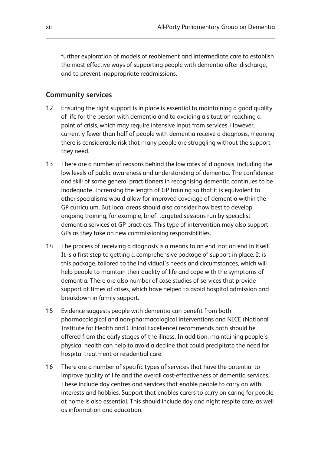further exploration of models of reablement and intermediate care to establish the most effective ways of supporting people with dementia after discharge, and to prevent inappropriate readmissions.

#### **Community services**

- 12 Ensuring the right support is in place is essential to maintaining a good quality of life for the person with dementia and to avoiding a situation reaching a point of crisis, which may require intensive input from services. However, currently fewer than half of people with dementia receive a diagnosis, meaning there is considerable risk that many people are struggling without the support they need.
- 13 There are a number of reasons behind the low rates of diagnosis, including the low levels of public awareness and understanding of dementia. The confidence and skill of some general practitioners in recognising dementia continues to be inadequate. Increasing the length of GP training so that it is equivalent to other specialisms would allow for improved coverage of dementia within the GP curriculum. But local areas should also consider how best to develop ongoing training, for example, brief, targeted sessions run by specialist dementia services at GP practices. This type of intervention may also support GPs as they take on new commissioning responsibilities.
- 14 The process of receiving a diagnosis is a means to an end, not an end in itself. It is a first step to getting a comprehensive package of support in place. It is this package, tailored to the individual's needs and circumstances, which will help people to maintain their quality of life and cope with the symptoms of dementia. There are also number of case studies of services that provide support at times of crises, which have helped to avoid hospital admission and breakdown in family support.
- 15 Evidence suggests people with dementia can benefit from both pharmacological and non-pharmacological interventions and NICE (National Institute for Health and Clinical Excellence) recommends both should be offered from the early stages of the illness. In addition, maintaining people's physical health can help to avoid a decline that could precipitate the need for hospital treatment or residential care.
- 16 There are a number of specific types of services that have the potential to improve quality of life and the overall cost-effectiveness of dementia services. These include day centres and services that enable people to carry on with interests and hobbies. Support that enables carers to carry on caring for people at home is also essential. This should include day and night respite care, as well as information and education.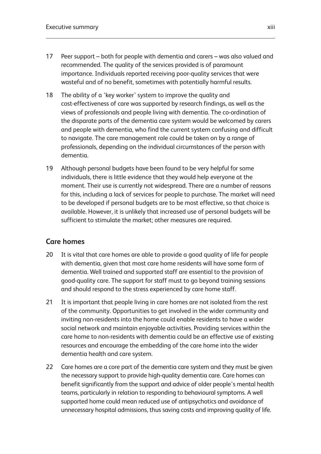- 17 Peer support both for people with dementia and carers was also valued and recommended. The quality of the services provided is of paramount importance. Individuals reported receiving poor-quality services that were wasteful and of no benefit, sometimes with potentially harmful results.
- 18 The ability of a 'key worker' system to improve the quality and cost-effectiveness of care was supported by research findings, as well as the views of professionals and people living with dementia. The co-ordination of the disparate parts of the dementia care system would be welcomed by carers and people with dementia, who find the current system confusing and difficult to navigate. The care management role could be taken on by a range of professionals, depending on the individual circumstances of the person with dementia.
- 19 Although personal budgets have been found to be very helpful for some individuals, there is little evidence that they would help everyone at the moment. Their use is currently not widespread. There are a number of reasons for this, including a lack of services for people to purchase. The market will need to be developed if personal budgets are to be most effective, so that choice is available. However, it is unlikely that increased use of personal budgets will be sufficient to stimulate the market; other measures are required.

## **Care homes**

- 20 It is vital that care homes are able to provide a good quality of life for people with dementia, given that most care home residents will have some form of dementia. Well trained and supported staff are essential to the provision of good-quality care. The support for staff must to go beyond training sessions and should respond to the stress experienced by care home staff.
- 21 It is important that people living in care homes are not isolated from the rest of the community. Opportunities to get involved in the wider community and inviting non-residents into the home could enable residents to have a wider social network and maintain enjoyable activities. Providing services within the care home to non-residents with dementia could be an effective use of existing resources and encourage the embedding of the care home into the wider dementia health and care system.
- 22 Care homes are a core part of the dementia care system and they must be given the necessary support to provide high-quality dementia care. Care homes can benefit significantly from the support and advice of older people's mental health teams, particularly in relation to responding to behavioural symptoms. A well supported home could mean reduced use of antipsychotics and avoidance of unnecessary hospital admissions, thus saving costs and improving quality of life.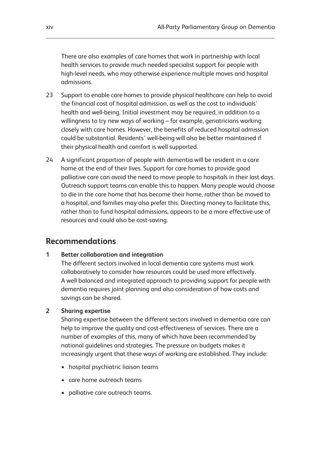There are also examples of care homes that work in partnership with local health services to provide much needed specialist support for people with high-level needs, who may otherwise experience multiple moves and hospital admissions.

- 23 Support to enable care homes to provide physical healthcare can help to avoid the financial cost of hospital admission, as well as the cost to individuals' health and well-being. Initial investment may be required, in addition to a willingness to try new ways of working – for example, geriatricians working closely with care homes. However, the benefits of reduced hospital admission could be substantial. Residents' well-being will also be better maintained if their physical health and comfort is well supported.
- 24 A significant proportion of people with dementia will be resident in a care home at the end of their lives. Support for care homes to provide good palliative care can avoid the need to move people to hospitals in their last days. Outreach support teams can enable this to happen. Many people would choose to die in the care home that has become their home, rather than be moved to a hospital, and families may also prefer this. Directing money to facilitate this, rather than to fund hospital admissions, appears to be a more effective use of resources and could also be cost-saving.

# **Recommendations**

#### **1 Better collaboration and integration**

The different sectors involved in local dementia care systems must work collaboratively to consider how resources could be used more effectively. A well balanced and integrated approach to providing support for people with dementia requires joint planning and also consideration of how costs and savings can be shared.

#### **2 Sharing expertise**

Sharing expertise between the different sectors involved in dementia care can help to improve the quality and cost-effectiveness of services. There are a number of examples of this, many of which have been recommended by national guidelines and strategies. The pressure on budgets makes it increasingly urgent that these ways of working are established. They include:

- hospital psychiatric liaison teams
- care home outreach teams
- palliative care outreach teams.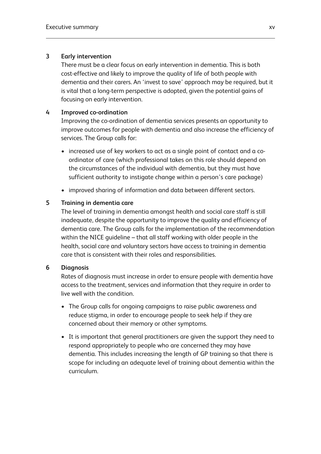#### **3 Early intervention**

There must be a clear focus on early intervention in dementia. This is both cost-effective and likely to improve the quality of life of both people with dementia and their carers. An 'invest to save' approach may be required, but it is vital that a long-term perspective is adopted, given the potential gains of focusing on early intervention.

#### **4 Improved co-ordination**

Improving the co-ordination of dementia services presents an opportunity to improve outcomes for people with dementia and also increase the efficiency of services. The Group calls for:

- increased use of key workers to act as a single point of contact and a coordinator of care (which professional takes on this role should depend on the circumstances of the individual with dementia, but they must have sufficient authority to instigate change within a person's care package)
- improved sharing of information and data between different sectors.

#### **5 Training in dementia care**

The level of training in dementia amongst health and social care staff is still inadequate, despite the opportunity to improve the quality and efficiency of dementia care. The Group calls for the implementation of the recommendation within the NICE guideline – that all staff working with older people in the health, social care and voluntary sectors have access to training in dementia care that is consistent with their roles and responsibilities.

#### **6 Diagnosis**

Rates of diagnosis must increase in order to ensure people with dementia have access to the treatment, services and information that they require in order to live well with the condition.

- The Group calls for ongoing campaigns to raise public awareness and reduce stigma, in order to encourage people to seek help if they are concerned about their memory or other symptoms.
- It is important that general practitioners are given the support they need to respond appropriately to people who are concerned they may have dementia. This includes increasing the length of GP training so that there is scope for including an adequate level of training about dementia within the curriculum.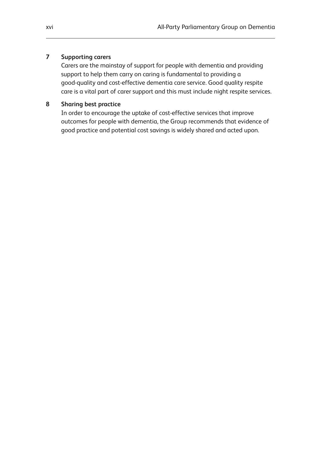#### **7 Supporting carers**

Carers are the mainstay of support for people with dementia and providing support to help them carry on caring is fundamental to providing a good-quality and cost-effective dementia care service. Good quality respite care is a vital part of carer support and this must include night respite services.

#### **8 Sharing best practice**

In order to encourage the uptake of cost-effective services that improve outcomes for people with dementia, the Group recommends that evidence of good practice and potential cost savings is widely shared and acted upon.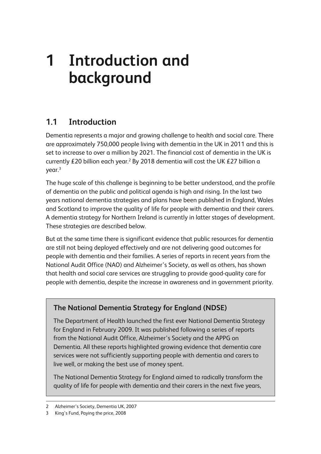# **1 Introduction and background**

# **1.1 Introduction**

Dementia represents a major and growing challenge to health and social care. There are approximately 750,000 people living with dementia in the UK in 2011 and this is set to increase to over a million by 2021. The financial cost of dementia in the UK is currently £20 billion each year.<sup>2</sup> By 2018 dementia will cost the UK £27 billion a  $vear.<sup>3</sup>$ 

The huge scale of this challenge is beginning to be better understood, and the profile of dementia on the public and political agenda is high and rising. In the last two years national dementia strategies and plans have been published in England, Wales and Scotland to improve the quality of life for people with dementia and their carers. A dementia strategy for Northern Ireland is currently in latter stages of development. These strategies are described below.

But at the same time there is significant evidence that public resources for dementia are still not being deployed effectively and are not delivering good outcomes for people with dementia and their families. A series of reports in recent years from the National Audit Office (NAO) and Alzheimer's Society, as well as others, has shown that health and social care services are struggling to provide good-quality care for people with dementia, despite the increase in awareness and in government priority.

# **The National Dementia Strategy for England (NDSE)**

The Department of Health launched the first ever National Dementia Strategy for England in February 2009. It was published following a series of reports from the National Audit Office, Alzheimer's Society and the APPG on Dementia. All these reports highlighted growing evidence that dementia care services were not sufficiently supporting people with dementia and carers to live well, or making the best use of money spent.

The National Dementia Strategy for England aimed to radically transform the quality of life for people with dementia and their carers in the next five years,

<sup>2</sup> Alzheimer's Society, Dementia UK, 2007

<sup>3</sup> King's Fund, Paying the price, 2008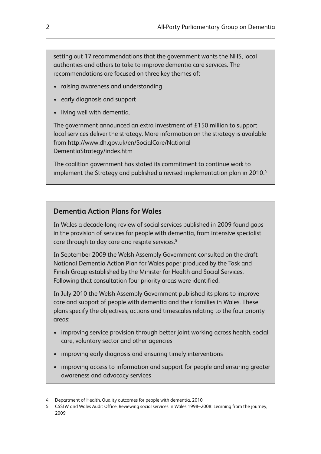setting out 17 recommendations that the government wants the NHS, local authorities and others to take to improve dementia care services. The recommendations are focused on three key themes of:

- raising awareness and understanding
- early diagnosis and support
- living well with dementia.

The government announced an extra investment of £150 million to support local services deliver the strategy. More information on the strategy is available from http://www.dh.gov.uk/en/SocialCare/National DementiaStrategy/index.htm

The coalition government has stated its commitment to continue work to implement the Strategy and published a revised implementation plan in 2010.<sup>4</sup>

## **Dementia Action Plans for Wales**

In Wales a decade-long review of social services published in 2009 found gaps in the provision of services for people with dementia, from intensive specialist care through to day care and respite services.<sup>5</sup>

In September 2009 the Welsh Assembly Government consulted on the draft National Dementia Action Plan for Wales paper produced by the Task and Finish Group established by the Minister for Health and Social Services. Following that consultation four priority areas were identified.

In July 2010 the Welsh Assembly Government published its plans to improve care and support of people with dementia and their families in Wales. These plans specify the objectives, actions and timescales relating to the four priority areas:

- improving service provision through better joint working across health, social care, voluntary sector and other agencies
- improving early diagnosis and ensuring timely interventions
- improving access to information and support for people and ensuring greater awareness and advocacy services

<sup>4</sup> Department of Health, Quality outcomes for people with dementia, 2010

<sup>5</sup> CSSIW and Wales Audit Office, Reviewing social services in Wales 1998–2008: Learning from the journey, 2009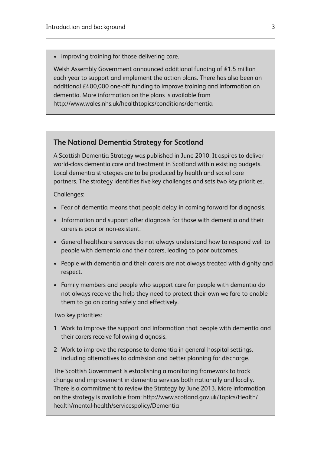• improving training for those delivering care.

Welsh Assembly Government announced additional funding of £1.5 million each year to support and implement the action plans. There has also been an additional £400,000 one-off funding to improve training and information on dementia. More information on the plans is available from http://www.wales.nhs.uk/healthtopics/conditions/dementia

#### **The National Dementia Strategy for Scotland**

A Scottish Dementia Strategy was published in June 2010. It aspires to deliver world-class dementia care and treatment in Scotland within existing budgets. Local dementia strategies are to be produced by health and social care partners. The strategy identifies five key challenges and sets two key priorities.

Challenges:

- Fear of dementia means that people delay in coming forward for diagnosis.
- Information and support after diagnosis for those with dementia and their carers is poor or non-existent.
- General healthcare services do not always understand how to respond well to people with dementia and their carers, leading to poor outcomes.
- People with dementia and their carers are not always treated with dignity and respect.
- Family members and people who support care for people with dementia do not always receive the help they need to protect their own welfare to enable them to go on caring safely and effectively.

Two key priorities:

- 1 Work to improve the support and information that people with dementia and their carers receive following diagnosis.
- 2 Work to improve the response to dementia in general hospital settings, including alternatives to admission and better planning for discharge.

The Scottish Government is establishing a monitoring framework to track change and improvement in dementia services both nationally and locally. There is a commitment to review the Strategy by June 2013. More information on the strategy is available from: http://www.scotland.gov.uk/Topics/Health/ health/mental-health/servicespolicy/Dementia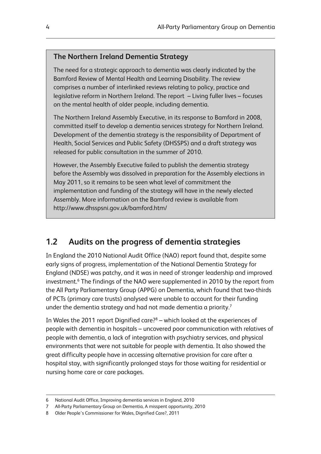#### **The Northern Ireland Dementia Strategy**

The need for a strategic approach to dementia was clearly indicated by the Bamford Review of Mental Health and Learning Disability. The review comprises a number of interlinked reviews relating to policy, practice and legislative reform in Northern Ireland. The report – Living fuller lives – focuses on the mental health of older people, including dementia.

The Northern Ireland Assembly Executive, in its response to Bamford in 2008, committed itself to develop a dementia services strategy for Northern Ireland. Development of the dementia strategy is the responsibility of Department of Health, Social Services and Public Safety (DHSSPS) and a draft strategy was released for public consultation in the summer of 2010.

However, the Assembly Executive failed to publish the dementia strategy before the Assembly was dissolved in preparation for the Assembly elections in May 2011, so it remains to be seen what level of commitment the implementation and funding of the strategy will have in the newly elected Assembly. More information on the Bamford review is available from http://www.dhsspsni.gov.uk/bamford.htm/

# **1.2 Audits on the progress of dementia strategies**

In England the 2010 National Audit Office (NAO) report found that, despite some early signs of progress, implementation of the National Dementia Strategy for England (NDSE) was patchy, and it was in need of stronger leadership and improved investment.6 The findings of the NAO were supplemented in 2010 by the report from the All Party Parliamentary Group (APPG) on Dementia, which found that two-thirds of PCTs (primary care trusts) analysed were unable to account for their funding under the dementia strategy and had not made dementia a priority.<sup>7</sup>

In Wales the 2011 report Dignified care?8 – which looked at the experiences of people with dementia in hospitals – uncovered poor communication with relatives of people with dementia, a lack of integration with psychiatry services, and physical environments that were not suitable for people with dementia. It also showed the great difficulty people have in accessing alternative provision for care after a hospital stay, with significantly prolonged stays for those waiting for residential or nursing home care or care packages.

<sup>6</sup> National Audit Office, Improving dementia services in England, 2010

<sup>7</sup> All-Party Parliamentary Group on Dementia, A misspent opportunity, 2010

<sup>8</sup> Older People's Commissioner for Wales, Dignified Care?, 2011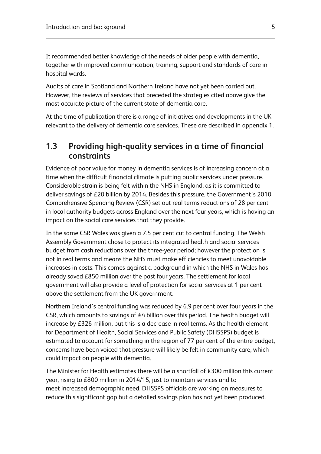It recommended better knowledge of the needs of older people with dementia, together with improved communication, training, support and standards of care in hospital wards.

Audits of care in Scotland and Northern Ireland have not yet been carried out. However, the reviews of services that preceded the strategies cited above give the most accurate picture of the current state of dementia care.

At the time of publication there is a range of initiatives and developments in the UK relevant to the delivery of dementia care services. These are described in appendix 1.

# **1.3 Providing high-quality services in a time of financial constraints**

Evidence of poor value for money in dementia services is of increasing concern at a time when the difficult financial climate is putting public services under pressure. Considerable strain is being felt within the NHS in England, as it is committed to deliver savings of £20 billion by 2014. Besides this pressure, the Government's 2010 Comprehensive Spending Review (CSR) set out real terms reductions of 28 per cent in local authority budgets across England over the next four years, which is having an impact on the social care services that they provide.

In the same CSR Wales was given a 7.5 per cent cut to central funding. The Welsh Assembly Government chose to protect its integrated health and social services budget from cash reductions over the three-year period; however the protection is not in real terms and means the NHS must make efficiencies to meet unavoidable increases in costs. This comes against a background in which the NHS in Wales has already saved £850 million over the past four years. The settlement for local government will also provide a level of protection for social services at 1 per cent above the settlement from the UK government.

Northern Ireland's central funding was reduced by 6.9 per cent over four years in the CSR, which amounts to savings of £4 billion over this period. The health budget will increase by £326 million, but this is a decrease in real terms. As the health element for Department of Health, Social Services and Public Safety (DHSSPS) budget is estimated to account for something in the region of 77 per cent of the entire budget, concerns have been voiced that pressure will likely be felt in community care, which could impact on people with dementia.

The Minister for Health estimates there will be a shortfall of £300 million this current year, rising to £800 million in 2014/15, just to maintain services and to meet increased demographic need. DHSSPS officials are working on measures to reduce this significant gap but a detailed savings plan has not yet been produced.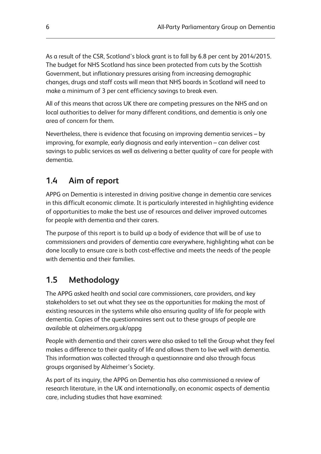As a result of the CSR, Scotland's block grant is to fall by 6.8 per cent by 2014/2015. The budget for NHS Scotland has since been protected from cuts by the Scottish Government, but inflationary pressures arising from increasing demographic changes, drugs and staff costs will mean that NHS boards in Scotland will need to make a minimum of 3 per cent efficiency savings to break even.

All of this means that across UK there are competing pressures on the NHS and on local authorities to deliver for many different conditions, and dementia is only one area of concern for them.

Nevertheless, there is evidence that focusing on improving dementia services – by improving, for example, early diagnosis and early intervention – can deliver cost savings to public services as well as delivering a better quality of care for people with dementia.

# **1.4 Aim of report**

APPG on Dementia is interested in driving positive change in dementia care services in this difficult economic climate. It is particularly interested in highlighting evidence of opportunities to make the best use of resources and deliver improved outcomes for people with dementia and their carers.

The purpose of this report is to build up a body of evidence that will be of use to commissioners and providers of dementia care everywhere, highlighting what can be done locally to ensure care is both cost-effective and meets the needs of the people with dementia and their families.

# **1.5 Methodology**

The APPG asked health and social care commissioners, care providers, and key stakeholders to set out what they see as the opportunities for making the most of existing resources in the systems while also ensuring quality of life for people with dementia. Copies of the questionnaires sent out to these groups of people are available at alzheimers.org.uk/appg

People with dementia and their carers were also asked to tell the Group what they feel makes a difference to their quality of life and allows them to live well with dementia. This information was collected through a questionnaire and also through focus groups organised by Alzheimer's Society.

As part of its inquiry, the APPG on Dementia has also commissioned a review of research literature, in the UK and internationally, on economic aspects of dementia care, including studies that have examined: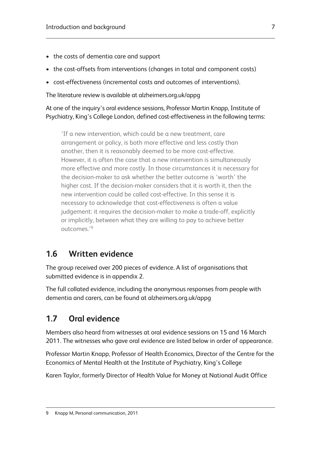- the costs of dementia care and support
- the cost-offsets from interventions (changes in total and component costs)
- cost-effectiveness (incremental costs and outcomes of interventions).

The literature review is available at alzheimers.org.uk/appg

At one of the inquiry's oral evidence sessions, Professor Martin Knapp, Institute of Psychiatry, King's College London, defined cost-effectiveness in the following terms:

'If a new intervention, which could be a new treatment, care arrangement or policy, is both more effective and less costly than another, then it is reasonably deemed to be more cost-effective. However, it is often the case that a new intervention is simultaneously more effective and more costly. In those circumstances it is necessary for the decision-maker to ask whether the better outcome is 'worth' the higher cost. If the decision-maker considers that it is worth it, then the new intervention could be called cost-effective. In this sense it is necessary to acknowledge that cost-effectiveness is often a value judgement: it requires the decision-maker to make a trade-off, explicitly or implicitly, between what they are willing to pay to achieve better outcomes.'9

# **1.6 Written evidence**

The group received over 200 pieces of evidence. A list of organisations that submitted evidence is in appendix 2.

The full collated evidence, including the anonymous responses from people with dementia and carers, can be found at alzheimers.org.uk/appg

# **1.7 Oral evidence**

Members also heard from witnesses at oral evidence sessions on 15 and 16 March 2011. The witnesses who gave oral evidence are listed below in order of appearance.

Professor Martin Knapp, Professor of Health Economics, Director of the Centre for the Economics of Mental Health at the Institute of Psychiatry, King's College

Karen Taylor, formerly Director of Health Value for Money at National Audit Office

<sup>9</sup> Knapp M, Personal communication, 2011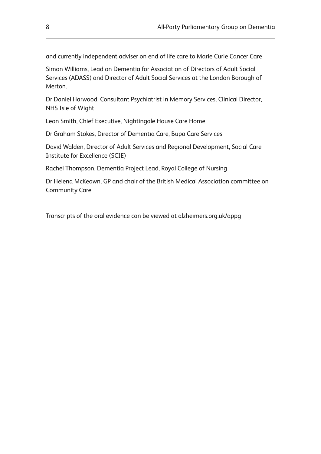and currently independent adviser on end of life care to Marie Curie Cancer Care

Simon Williams, Lead on Dementia for Association of Directors of Adult Social Services (ADASS) and Director of Adult Social Services at the London Borough of Merton.

Dr Daniel Harwood, Consultant Psychiatrist in Memory Services, Clinical Director, NHS Isle of Wight

Leon Smith, Chief Executive, Nightingale House Care Home

Dr Graham Stokes, Director of Dementia Care, Bupa Care Services

David Walden, Director of Adult Services and Regional Development, Social Care Institute for Excellence (SCIE)

Rachel Thompson, Dementia Project Lead, Royal College of Nursing

Dr Helena McKeown, GP and chair of the British Medical Association committee on Community Care

Transcripts of the oral evidence can be viewed at alzheimers.org.uk/appg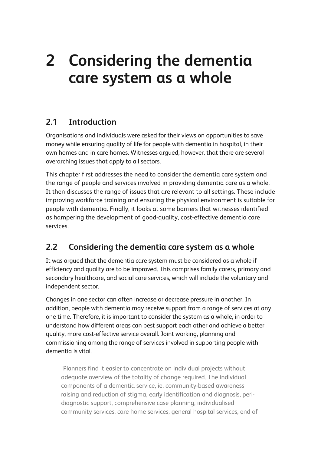# **2 Considering the dementia care system as a whole**

# **2.1 Introduction**

Organisations and individuals were asked for their views on opportunities to save money while ensuring quality of life for people with dementia in hospital, in their own homes and in care homes. Witnesses argued, however, that there are several overarching issues that apply to all sectors.

This chapter first addresses the need to consider the dementia care system and the range of people and services involved in providing dementia care as a whole. It then discusses the range of issues that are relevant to all settings. These include improving workforce training and ensuring the physical environment is suitable for people with dementia. Finally, it looks at some barriers that witnesses identified as hampering the development of good-quality, cost-effective dementia care services.

# **2.2 Considering the dementia care system as a whole**

It was argued that the dementia care system must be considered as a whole if efficiency and quality are to be improved. This comprises family carers, primary and secondary healthcare, and social care services, which will include the voluntary and independent sector.

Changes in one sector can often increase or decrease pressure in another. In addition, people with dementia may receive support from a range of services at any one time. Therefore, it is important to consider the system as a whole, in order to understand how different areas can best support each other and achieve a better quality, more cost-effective service overall. Joint working, planning and commissioning among the range of services involved in supporting people with dementia is vital.

'Planners find it easier to concentrate on individual projects without adequate overview of the totality of change required. The individual components of a dementia service, ie, community-based awareness raising and reduction of stigma, early identification and diagnosis, peridiagnostic support, comprehensive case planning, individualised community services, care home services, general hospital services, end of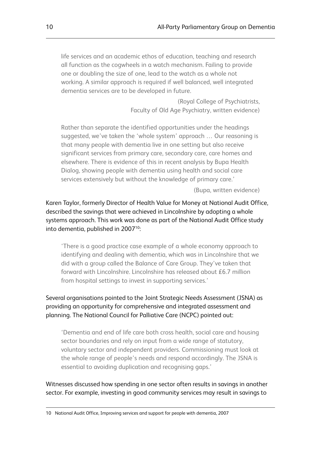life services and an academic ethos of education, teaching and research all function as the cogwheels in a watch mechanism. Failing to provide one or doubling the size of one, lead to the watch as a whole not working. A similar approach is required if well balanced, well integrated dementia services are to be developed in future.

> (Royal College of Psychiatrists, Faculty of Old Age Psychiatry, written evidence)

Rather than separate the identified opportunities under the headings suggested, we've taken the 'whole system' approach … Our reasoning is that many people with dementia live in one setting but also receive significant services from primary care, secondary care, care homes and elsewhere. There is evidence of this in recent analysis by Bupa Health Dialog, showing people with dementia using health and social care services extensively but without the knowledge of primary care.'

(Bupa, written evidence)

Karen Taylor, formerly Director of Health Value for Money at National Audit Office, described the savings that were achieved in Lincolnshire by adopting a whole systems approach. This work was done as part of the National Audit Office study into dementia, published in 2007<sup>10</sup>:

'There is a good practice case example of a whole economy approach to identifying and dealing with dementia, which was in Lincolnshire that we did with a group called the Balance of Care Group. They've taken that forward with Lincolnshire. Lincolnshire has released about £6.7 million from hospital settings to invest in supporting services.'

#### Several organisations pointed to the Joint Strategic Needs Assessment (JSNA) as providing an opportunity for comprehensive and integrated assessment and planning. The National Council for Palliative Care (NCPC) pointed out:

'Dementia and end of life care both cross health, social care and housing sector boundaries and rely on input from a wide range of statutory, voluntary sector and independent providers. Commissioning must look at the whole range of people's needs and respond accordingly. The JSNA is essential to avoiding duplication and recognising gaps.'

Witnesses discussed how spending in one sector often results in savings in another sector. For example, investing in good community services may result in savings to

10 National Audit Office, Improving services and support for people with dementia, 2007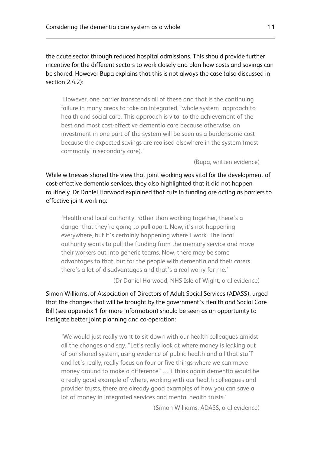the acute sector through reduced hospital admissions. This should provide further incentive for the different sectors to work closely and plan how costs and savings can be shared. However Bupa explains that this is not always the case (also discussed in section 2.4.2):

'However, one barrier transcends all of these and that is the continuing failure in many areas to take an integrated, 'whole system' approach to health and social care. This approach is vital to the achievement of the best and most cost-effective dementia care because otherwise, an investment in one part of the system will be seen as a burdensome cost because the expected savings are realised elsewhere in the system (most commonly in secondary care).'

(Bupa, written evidence)

While witnesses shared the view that joint working was vital for the development of cost-effective dementia services, they also highlighted that it did not happen routinely. Dr Daniel Harwood explained that cuts in funding are acting as barriers to effective joint working:

'Health and local authority, rather than working together, there's a danger that they're going to pull apart. Now, it's not happening everywhere, but it's certainly happening where I work. The local authority wants to pull the funding from the memory service and move their workers out into generic teams. Now, there may be some advantages to that, but for the people with dementia and their carers there's a lot of disadvantages and that's a real worry for me.'

(Dr Daniel Harwood, NHS Isle of Wight, oral evidence)

Simon Williams, of Association of Directors of Adult Social Services (ADASS), urged that the changes that will be brought by the government's Health and Social Care Bill (see appendix 1 for more information) should be seen as an opportunity to instigate better joint planning and co-operation:

'We would just really want to sit down with our health colleagues amidst all the changes and say, "Let's really look at where money is leaking out of our shared system, using evidence of public health and all that stuff and let's really, really focus on four or five things where we can move money around to make a difference" … I think again dementia would be a really good example of where, working with our health colleagues and provider trusts, there are already good examples of how you can save a lot of money in integrated services and mental health trusts.'

(Simon Williams, ADASS, oral evidence)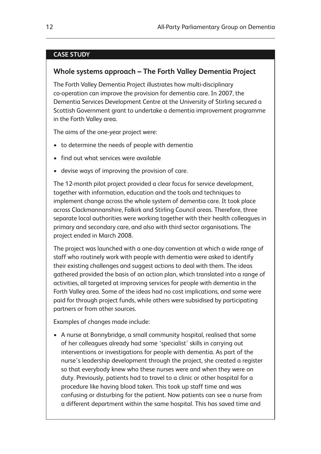#### **CASE STUDY**

#### **Whole systems approach – The Forth Valley Dementia Project**

The Forth Valley Dementia Project illustrates how multi-disciplinary co-operation can improve the provision for dementia care. In 2007, the Dementia Services Development Centre at the University of Stirling secured a Scottish Government grant to undertake a dementia improvement programme in the Forth Valley area.

The aims of the one-year project were:

- to determine the needs of people with dementia
- find out what services were available
- devise ways of improving the provision of care.

The 12-month pilot project provided a clear focus for service development, together with information, education and the tools and techniques to implement change across the whole system of dementia care. It took place across Clackmannanshire, Falkirk and Stirling Council areas. Therefore, three separate local authorities were working together with their health colleagues in primary and secondary care, and also with third sector organisations. The project ended in March 2008.

The project was launched with a one-day convention at which a wide range of staff who routinely work with people with dementia were asked to identify their existing challenges and suggest actions to deal with them. The ideas gathered provided the basis of an action plan, which translated into a range of activities, all targeted at improving services for people with dementia in the Forth Valley area. Some of the ideas had no cost implications, and some were paid for through project funds, while others were subsidised by participating partners or from other sources.

Examples of changes made include:

• A nurse at Bonnybridge, a small community hospital, realised that some of her colleagues already had some 'specialist' skills in carrying out interventions or investigations for people with dementia. As part of the nurse's leadership development through the project, she created a register so that everybody knew who these nurses were and when they were on duty. Previously, patients had to travel to a clinic or other hospital for a procedure like having blood taken. This took up staff time and was confusing or disturbing for the patient. Now patients can see a nurse from a different department within the same hospital. This has saved time and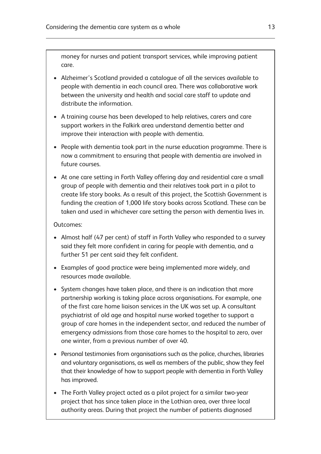money for nurses and patient transport services, while improving patient care.

- Alzheimer's Scotland provided a catalogue of all the services available to people with dementia in each council area. There was collaborative work between the university and health and social care staff to update and distribute the information.
- A training course has been developed to help relatives, carers and care support workers in the Falkirk area understand dementia better and improve their interaction with people with dementia.
- People with dementia took part in the nurse education programme. There is now a commitment to ensuring that people with dementia are involved in future courses.
- At one care setting in Forth Valley offering day and residential care a small group of people with dementia and their relatives took part in a pilot to create life story books. As a result of this project, the Scottish Government is funding the creation of 1,000 life story books across Scotland. These can be taken and used in whichever care setting the person with dementia lives in.

#### Outcomes:

- Almost half (47 per cent) of staff in Forth Valley who responded to a survey said they felt more confident in caring for people with dementia, and a further 51 per cent said they felt confident.
- Examples of good practice were being implemented more widely, and resources made available.
- System changes have taken place, and there is an indication that more partnership working is taking place across organisations. For example, one of the first care home liaison services in the UK was set up. A consultant psychiatrist of old age and hospital nurse worked together to support a group of care homes in the independent sector, and reduced the number of emergency admissions from those care homes to the hospital to zero, over one winter, from a previous number of over 40.
- Personal testimonies from organisations such as the police, churches, libraries and voluntary organisations, as well as members of the public, show they feel that their knowledge of how to support people with dementia in Forth Valley has improved.
- The Forth Valley project acted as a pilot project for a similar two-year project that has since taken place in the Lothian area, over three local authority areas. During that project the number of patients diagnosed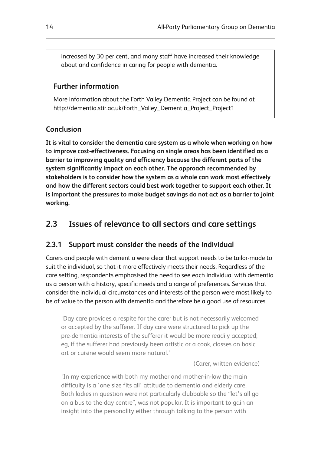increased by 30 per cent, and many staff have increased their knowledge about and confidence in caring for people with dementia.

# **Further information**

More information about the Forth Valley Dementia Project can be found at http://dementia.stir.ac.uk/Forth\_Valley\_Dementia\_Project\_Project1

# **Conclusion**

**It is vital to consider the dementia care system as a whole when working on how to improve cost-effectiveness. Focusing on single areas has been identified as a barrier to improving quality and efficiency because the different parts of the system significantly impact on each other. The approach recommended by stakeholders is to consider how the system as a whole can work most effectively and how the different sectors could best work together to support each other. It is important the pressures to make budget savings do not act as a barrier to joint working.**

# **2.3 Issues of relevance to all sectors and care settings**

# **2.3.1 Support must consider the needs of the individual**

Carers and people with dementia were clear that support needs to be tailor-made to suit the individual, so that it more effectively meets their needs. Regardless of the care setting, respondents emphasised the need to see each individual with dementia as a person with a history, specific needs and a range of preferences. Services that consider the individual circumstances and interests of the person were most likely to be of value to the person with dementia and therefore be a good use of resources.

'Day care provides a respite for the carer but is not necessarily welcomed or accepted by the sufferer. If day care were structured to pick up the pre-dementia interests of the sufferer it would be more readily accepted; eg, if the sufferer had previously been artistic or a cook, classes on basic art or cuisine would seem more natural.'

(Carer, written evidence)

'In my experience with both my mother and mother-in-law the main difficulty is a 'one size fits all' attitude to dementia and elderly care. Both ladies in question were not particularly clubbable so the "let's all go on a bus to the day centre", was not popular. It is important to gain an insight into the personality either through talking to the person with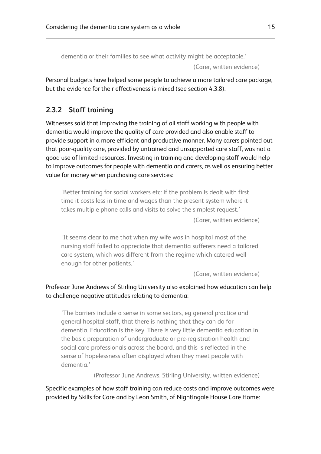dementia or their families to see what activity might be acceptable.'

(Carer, written evidence)

Personal budgets have helped some people to achieve a more tailored care package, but the evidence for their effectiveness is mixed (see section 4.3.8).

# **2.3.2 Staff training**

Witnesses said that improving the training of all staff working with people with dementia would improve the quality of care provided and also enable staff to provide support in a more efficient and productive manner. Many carers pointed out that poor-quality care, provided by untrained and unsupported care staff, was not a good use of limited resources. Investing in training and developing staff would help to improve outcomes for people with dementia and carers, as well as ensuring better value for money when purchasing care services:

'Better training for social workers etc: if the problem is dealt with first time it costs less in time and wages than the present system where it takes multiple phone calls and visits to solve the simplest request.'

(Carer, written evidence)

'It seems clear to me that when my wife was in hospital most of the nursing staff failed to appreciate that dementia sufferers need a tailored care system, which was different from the regime which catered well enough for other patients.'

(Carer, written evidence)

#### Professor June Andrews of Stirling University also explained how education can help to challenge negative attitudes relating to dementia:

'The barriers include a sense in some sectors, eg general practice and general hospital staff, that there is nothing that they can do for dementia. Education is the key. There is very little dementia education in the basic preparation of undergraduate or pre-registration health and social care professionals across the board, and this is reflected in the sense of hopelessness often displayed when they meet people with dementia.'

(Professor June Andrews, Stirling University, written evidence)

Specific examples of how staff training can reduce costs and improve outcomes were provided by Skills for Care and by Leon Smith, of Nightingale House Care Home: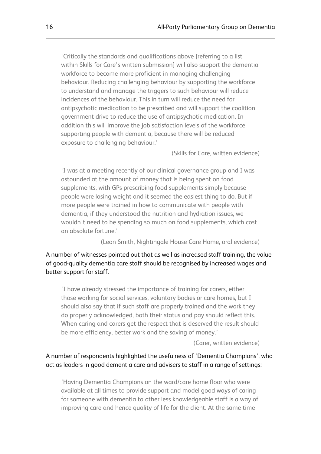'Critically the standards and qualifications above [referring to a list within Skills for Care's written submission] will also support the dementia workforce to become more proficient in managing challenging behaviour. Reducing challenging behaviour by supporting the workforce to understand and manage the triggers to such behaviour will reduce incidences of the behaviour. This in turn will reduce the need for antipsychotic medication to be prescribed and will support the coalition government drive to reduce the use of antipsychotic medication. In addition this will improve the job satisfaction levels of the workforce supporting people with dementia, because there will be reduced exposure to challenging behaviour.'

(Skills for Care, written evidence)

'I was at a meeting recently of our clinical governance group and I was astounded at the amount of money that is being spent on food supplements, with GPs prescribing food supplements simply because people were losing weight and it seemed the easiest thing to do. But if more people were trained in how to communicate with people with dementia, if they understood the nutrition and hydration issues, we wouldn't need to be spending so much on food supplements, which cost an absolute fortune.'

(Leon Smith, Nightingale House Care Home, oral evidence)

A number of witnesses pointed out that as well as increased staff training, the value of good-quality dementia care staff should be recognised by increased wages and better support for staff.

'I have already stressed the importance of training for carers, either those working for social services, voluntary bodies or care homes, but I should also say that if such staff are properly trained and the work they do properly acknowledged, both their status and pay should reflect this. When caring and carers get the respect that is deserved the result should be more efficiency, better work and the saving of money.'

(Carer, written evidence)

#### A number of respondents highlighted the usefulness of 'Dementia Champions', who act as leaders in good dementia care and advisers to staff in a range of settings:

'Having Dementia Champions on the ward/care home floor who were available at all times to provide support and model good ways of caring for someone with dementia to other less knowledgeable staff is a way of improving care and hence quality of life for the client. At the same time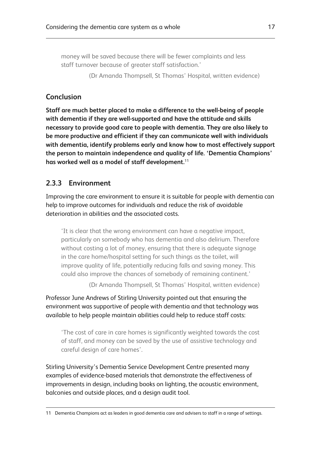money will be saved because there will be fewer complaints and less staff turnover because of greater staff satisfaction.'

(Dr Amanda Thompsell, St Thomas' Hospital, written evidence)

# **Conclusion**

**Staff are much better placed to make a difference to the well-being of people with dementia if they are well-supported and have the attitude and skills necessary to provide good care to people with dementia. They are also likely to be more productive and efficient if they can communicate well with individuals with dementia, identify problems early and know how to most effectively support the person to maintain independence and quality of life. 'Dementia Champions' has worked well as a model of staff development.**<sup>11</sup>

# **2.3.3 Environment**

Improving the care environment to ensure it is suitable for people with dementia can help to improve outcomes for individuals and reduce the risk of avoidable deterioration in abilities and the associated costs.

'It is clear that the wrong environment can have a negative impact, particularly on somebody who has dementia and also delirium. Therefore without costing a lot of money, ensuring that there is adequate signage in the care home/hospital setting for such things as the toilet, will improve quality of life, potentially reducing falls and saving money. This could also improve the chances of somebody of remaining continent.'

(Dr Amanda Thompsell, St Thomas' Hospital, written evidence)

Professor June Andrews of Stirling University pointed out that ensuring the environment was supportive of people with dementia and that technology was available to help people maintain abilities could help to reduce staff costs:

'The cost of care in care homes is significantly weighted towards the cost of staff, and money can be saved by the use of assistive technology and careful design of care homes'.

Stirling University's Dementia Service Development Centre presented many examples of evidence-based materials that demonstrate the effectiveness of improvements in design, including books on lighting, the acoustic environment, balconies and outside places, and a design audit tool.

<sup>11</sup> Dementia Champions act as leaders in good dementia care and advisers to staff in a range of settings.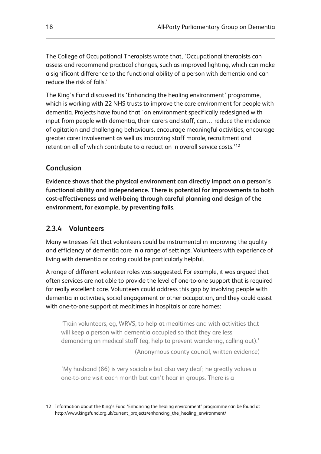The College of Occupational Therapists wrote that, 'Occupational therapists can assess and recommend practical changes, such as improved lighting, which can make a significant difference to the functional ability of a person with dementia and can reduce the risk of falls.'

The King's Fund discussed its 'Enhancing the healing environment' programme, which is working with 22 NHS trusts to improve the care environment for people with dementia. Projects have found that 'an environment specifically redesigned with input from people with dementia, their carers and staff, can… reduce the incidence of agitation and challenging behaviours, encourage meaningful activities, encourage greater carer involvement as well as improving staff morale, recruitment and retention all of which contribute to a reduction in overall service costs.'12

# **Conclusion**

**Evidence shows that the physical environment can directly impact on a person's functional ability and independence. There is potential for improvements to both cost-effectiveness and well-being through careful planning and design of the environment, for example, by preventing falls.**

## **2.3.4 Volunteers**

Many witnesses felt that volunteers could be instrumental in improving the quality and efficiency of dementia care in a range of settings. Volunteers with experience of living with dementia or caring could be particularly helpful.

A range of different volunteer roles was suggested. For example, it was argued that often services are not able to provide the level of one-to-one support that is required for really excellent care. Volunteers could address this gap by involving people with dementia in activities, social engagement or other occupation, and they could assist with one-to-one support at mealtimes in hospitals or care homes:

'Train volunteers, eg, WRVS, to help at mealtimes and with activities that will keep a person with dementia occupied so that they are less demanding on medical staff (eg, help to prevent wandering, calling out).'

(Anonymous county council, written evidence)

'My husband (86) is very sociable but also very deaf; he greatly values a one-to-one visit each month but can't hear in groups. There is a

<sup>12</sup> Information about the King's Fund 'Enhancing the healing environment' programme can be found at http://www.kingsfund.org.uk/current\_projects/enhancing\_the\_healing\_environment/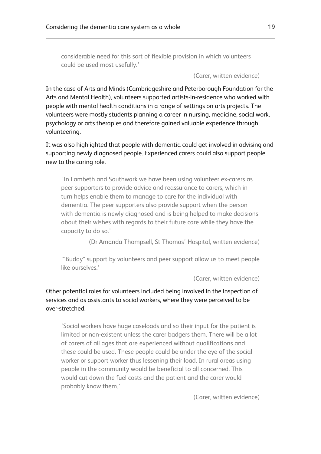considerable need for this sort of flexible provision in which volunteers could be used most usefully.'

(Carer, written evidence)

In the case of Arts and Minds (Cambridgeshire and Peterborough Foundation for the Arts and Mental Health), volunteers supported artists-in-residence who worked with people with mental health conditions in a range of settings on arts projects. The volunteers were mostly students planning a career in nursing, medicine, social work, psychology or arts therapies and therefore gained valuable experience through volunteering.

It was also highlighted that people with dementia could get involved in advising and supporting newly diagnosed people. Experienced carers could also support people new to the caring role.

'In Lambeth and Southwark we have been using volunteer ex-carers as peer supporters to provide advice and reassurance to carers, which in turn helps enable them to manage to care for the individual with dementia. The peer supporters also provide support when the person with dementia is newly diagnosed and is being helped to make decisions about their wishes with regards to their future care while they have the capacity to do so.'

(Dr Amanda Thompsell, St Thomas' Hospital, written evidence)

'"Buddy" support by volunteers and peer support allow us to meet people like ourselves.'

(Carer, written evidence)

#### Other potential roles for volunteers included being involved in the inspection of services and as assistants to social workers, where they were perceived to be over-stretched.

'Social workers have huge caseloads and so their input for the patient is limited or non-existent unless the carer badgers them. There will be a lot of carers of all ages that are experienced without qualifications and these could be used. These people could be under the eye of the social worker or support worker thus lessening their load. In rural areas using people in the community would be beneficial to all concerned. This would cut down the fuel costs and the patient and the carer would probably know them.'

(Carer, written evidence)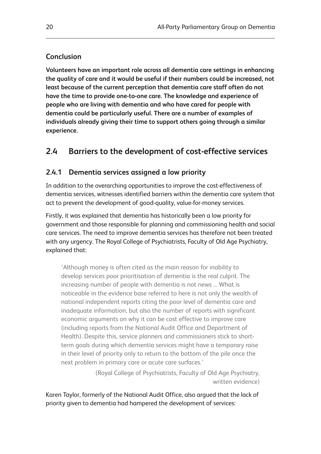## **Conclusion**

**Volunteers have an important role across all dementia care settings in enhancing the quality of care and it would be useful if their numbers could be increased, not least because of the current perception that dementia care staff often do not have the time to provide one-to-one care. The knowledge and experience of people who are living with dementia and who have cared for people with dementia could be particularly useful. There are a number of examples of individuals already giving their time to support others going through a similar experience.**

# **2.4 Barriers to the development of cost-effective services**

## **2.4.1 Dementia services assigned a low priority**

In addition to the overarching opportunities to improve the cost-effectiveness of dementia services, witnesses identified barriers within the dementia care system that act to prevent the development of good-quality, value-for-money services.

Firstly, it was explained that dementia has historically been a low priority for government and those responsible for planning and commissioning health and social care services. The need to improve dementia services has therefore not been treated with any urgency. The Royal College of Psychiatrists, Faculty of Old Age Psychiatry, explained that:

'Although money is often cited as the main reason for inability to develop services poor prioritisation of dementia is the real culprit. The increasing number of people with dementia is not news ... What is noticeable in the evidence base referred to here is not only the wealth of national independent reports citing the poor level of dementia care and inadequate information, but also the number of reports with significant economic arguments on why it can be cost effective to improve care (including reports from the National Audit Office and Department of Health). Despite this, service planners and commissioners stick to shortterm goals during which dementia services might have a temporary raise in their level of priority only to return to the bottom of the pile once the next problem in primary care or acute care surfaces.'

> (Royal College of Psychiatrists, Faculty of Old Age Psychiatry, written evidence)

Karen Taylor, formerly of the National Audit Office, also argued that the lack of priority given to dementia had hampered the development of services: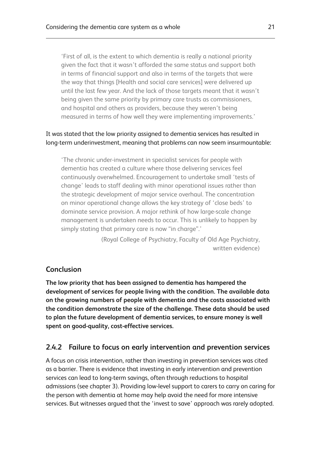'First of all, is the extent to which dementia is really a national priority given the fact that it wasn't afforded the same status and support both in terms of financial support and also in terms of the targets that were the way that things [Health and social care services] were delivered up until the last few year. And the lack of those targets meant that it wasn't being given the same priority by primary care trusts as commissioners, and hospital and others as providers, because they weren't being measured in terms of how well they were implementing improvements.'

## It was stated that the low priority assigned to dementia services has resulted in long-term underinvestment, meaning that problems can now seem insurmountable:

'The chronic under-investment in specialist services for people with dementia has created a culture where those delivering services feel continuously overwhelmed. Encouragement to undertake small 'tests of change' leads to staff dealing with minor operational issues rather than the strategic development of major service overhaul. The concentration on minor operational change allows the key strategy of 'close beds' to dominate service provision. A major rethink of how large-scale change management is undertaken needs to occur. This is unlikely to happen by simply stating that primary care is now "in charge".'

> (Royal College of Psychiatry, Faculty of Old Age Psychiatry, written evidence)

# **Conclusion**

**The low priority that has been assigned to dementia has hampered the development of services for people living with the condition. The available data on the growing numbers of people with dementia and the costs associated with the condition demonstrate the size of the challenge. These data should be used to plan the future development of dementia services, to ensure money is well spent on good-quality, cost-effective services.**

# **2.4.2 Failure to focus on early intervention and prevention services**

A focus on crisis intervention, rather than investing in prevention services was cited as a barrier. There is evidence that investing in early intervention and prevention services can lead to long-term savings, often through reductions to hospital admissions (see chapter 3). Providing low-level support to carers to carry on caring for the person with dementia at home may help avoid the need for more intensive services. But witnesses argued that the 'invest to save' approach was rarely adopted.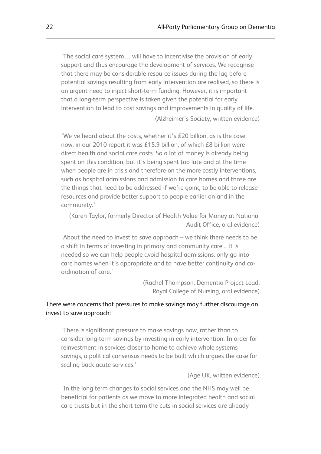'The social care system… will have to incentivise the provision of early support and thus encourage the development of services. We recognise that there may be considerable resource issues during the lag before potential savings resulting from early intervention are realised, so there is an urgent need to inject short-term funding. However, it is important that a long-term perspective is taken given the potential for early intervention to lead to cost savings and improvements in quality of life.' (Alzheimer's Society, written evidence)

'We've heard about the costs, whether it's £20 billion, as is the case now, in our 2010 report it was £15.9 billion, of which £8 billion were direct health and social care costs. So a lot of money is already being spent on this condition, but it's being spent too late and at the time when people are in crisis and therefore on the more costly interventions, such as hospital admissions and admission to care homes and those are the things that need to be addressed if we're going to be able to release resources and provide better support to people earlier on and in the community.'

(Karen Taylor, formerly Director of Health Value for Money at National Audit Office, oral evidence)

'About the need to invest to save approach – we think there needs to be a shift in terms of investing in primary and community care... It is needed so we can help people avoid hospital admissions, only go into care homes when it's appropriate and to have better continuity and coordination of care.'

> (Rachel Thompson, Dementia Project Lead, Royal College of Nursing, oral evidence)

#### There were concerns that pressures to make savings may further discourage an invest to save approach:

'There is significant pressure to make savings now, rather than to consider long-term savings by investing in early intervention. In order for reinvestment in services closer to home to achieve whole systems savings, a political consensus needs to be built which argues the case for scaling back acute services.'

(Age UK, written evidence)

'In the long term changes to social services and the NHS may well be beneficial for patients as we move to more integrated health and social care trusts but in the short term the cuts in social services are already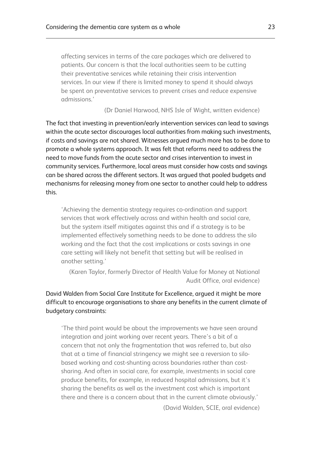affecting services in terms of the care packages which are delivered to patients. Our concern is that the local authorities seem to be cutting their preventative services while retaining their crisis intervention services. In our view if there is limited money to spend it should always be spent on preventative services to prevent crises and reduce expensive admissions.'

(Dr Daniel Harwood, NHS Isle of Wight, written evidence)

The fact that investing in prevention/early intervention services can lead to savings within the acute sector discourages local authorities from making such investments, if costs and savings are not shared. Witnesses argued much more has to be done to promote a whole systems approach. It was felt that reforms need to address the need to move funds from the acute sector and crises intervention to invest in community services. Furthermore, local areas must consider how costs and savings can be shared across the different sectors. It was argued that pooled budgets and mechanisms for releasing money from one sector to another could help to address this.

'Achieving the dementia strategy requires co-ordination and support services that work effectively across and within health and social care, but the system itself mitigates against this and if a strategy is to be implemented effectively something needs to be done to address the silo working and the fact that the cost implications or costs savings in one care setting will likely not benefit that setting but will be realised in another setting.'

(Karen Taylor, formerly Director of Health Value for Money at National Audit Office, oral evidence)

## David Walden from Social Care Institute for Excellence, argued it might be more difficult to encourage organisations to share any benefits in the current climate of budgetary constraints:

'The third point would be about the improvements we have seen around integration and joint working over recent years. There's a bit of a concern that not only the fragmentation that was referred to, but also that at a time of financial stringency we might see a reversion to silobased working and cost-shunting across boundaries rather than costsharing. And often in social care, for example, investments in social care produce benefits, for example, in reduced hospital admissions, but it's sharing the benefits as well as the investment cost which is important there and there is a concern about that in the current climate obviously.'

(David Walden, SCIE, oral evidence)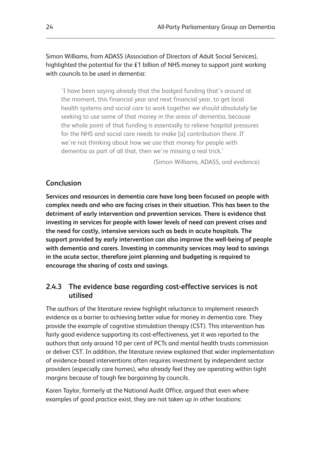Simon Williams, from ADASS (Association of Directors of Adult Social Services), highlighted the potential for the £1 billion of NHS money to support joint working with councils to be used in dementia:

'I have been saying already that the badged funding that's around at the moment, this financial year and next financial year, to get local health systems and social care to work together we should absolutely be seeking to use some of that money in the areas of dementia, because the whole point of that funding is essentially to relieve hospital pressures for the NHS and social care needs to make [a] contribution there. If we're not thinking about how we use that money for people with dementia as part of all that, then we're missing a real trick.'

(Simon Williams, ADASS, oral evidence)

## **Conclusion**

**Services and resources in dementia care have long been focused on people with complex needs and who are facing crises in their situation. This has been to the detriment of early intervention and prevention services. There is evidence that investing in services for people with lower levels of need can prevent crises and the need for costly, intensive services such as beds in acute hospitals. The support provided by early intervention can also improve the well-being of people with dementia and carers. Investing in community services may lead to savings in the acute sector, therefore joint planning and budgeting is required to encourage the sharing of costs and savings.**

## **2.4.3 The evidence base regarding cost-effective services is not utilised**

The authors of the literature review highlight reluctance to implement research evidence as a barrier to achieving better value for money in dementia care. They provide the example of cognitive stimulation therapy (CST). This intervention has fairly good evidence supporting its cost-effectiveness, yet it was reported to the authors that only around 10 per cent of PCTs and mental health trusts commission or deliver CST. In addition, the literature review explained that wider implementation of evidence-based interventions often requires investment by independent sector providers (especially care homes), who already feel they are operating within tight margins because of tough fee bargaining by councils.

Karen Taylor, formerly at the National Audit Office, argued that even where examples of good practice exist, they are not taken up in other locations: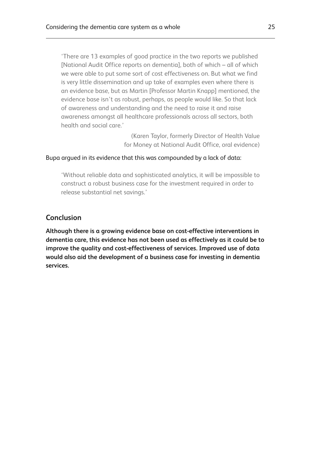'There are 13 examples of good practice in the two reports we published [National Audit Office reports on dementia], both of which – all of which we were able to put some sort of cost effectiveness on. But what we find is very little dissemination and up take of examples even where there is an evidence base, but as Martin [Professor Martin Knapp] mentioned, the evidence base isn't as robust, perhaps, as people would like. So that lack of awareness and understanding and the need to raise it and raise awareness amongst all healthcare professionals across all sectors, both health and social care.'

> (Karen Taylor, formerly Director of Health Value for Money at National Audit Office, oral evidence)

#### Bupa argued in its evidence that this was compounded by a lack of data:

'Without reliable data and sophisticated analytics, it will be impossible to construct a robust business case for the investment required in order to release substantial net savings.'

## **Conclusion**

**Although there is a growing evidence base on cost-effective interventions in dementia care, this evidence has not been used as effectively as it could be to improve the quality and cost-effectiveness of services. Improved use of data would also aid the development of a business case for investing in dementia services.**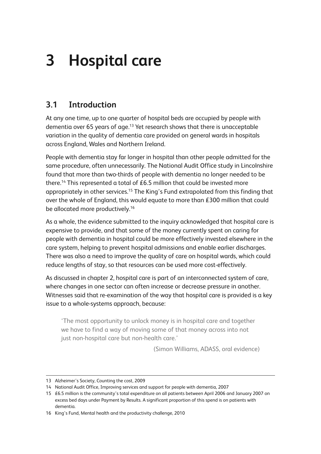# **3 Hospital care**

# **3.1 Introduction**

At any one time, up to one quarter of hospital beds are occupied by people with dementia over 65 years of age.<sup>13</sup> Yet research shows that there is unacceptable variation in the quality of dementia care provided on general wards in hospitals across England, Wales and Northern Ireland.

People with dementia stay far longer in hospital than other people admitted for the same procedure, often unnecessarily. The National Audit Office study in Lincolnshire found that more than two-thirds of people with dementia no longer needed to be there.<sup>14</sup> This represented a total of £6.5 million that could be invested more appropriately in other services.<sup>15</sup> The King's Fund extrapolated from this finding that over the whole of England, this would equate to more than £300 million that could be allocated more productively.<sup>16</sup>

As a whole, the evidence submitted to the inquiry acknowledged that hospital care is expensive to provide, and that some of the money currently spent on caring for people with dementia in hospital could be more effectively invested elsewhere in the care system, helping to prevent hospital admissions and enable earlier discharges. There was also a need to improve the quality of care on hospital wards, which could reduce lengths of stay, so that resources can be used more cost-effectively.

As discussed in chapter 2, hospital care is part of an interconnected system of care, where changes in one sector can often increase or decrease pressure in another. Witnesses said that re-examination of the way that hospital care is provided is a key issue to a whole-systems approach, because:

'The most opportunity to unlock money is in hospital care and together we have to find a way of moving some of that money across into not just non-hospital care but non-health care.'

(Simon Williams, ADASS, oral evidence)

<sup>13</sup> Alzheimer's Society, Counting the cost, 2009

<sup>14</sup> National Audit Office, Improving services and support for people with dementia, 2007

<sup>15 £6.5</sup> million is the community's total expenditure on all patients between April 2006 and January 2007 on excess bed days under Payment by Results. A significant proportion of this spend is on patients with dementia.

<sup>16</sup> King's Fund, Mental health and the productivity challenge, 2010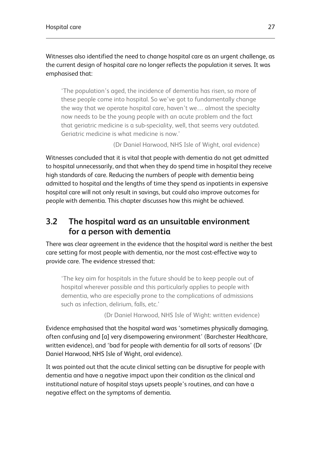Witnesses also identified the need to change hospital care as an urgent challenge, as the current design of hospital care no longer reflects the population it serves. It was emphasised that:

'The population's aged, the incidence of dementia has risen, so more of these people come into hospital. So we've got to fundamentally change the way that we operate hospital care, haven't we… almost the specialty now needs to be the young people with an acute problem and the fact that geriatric medicine is a sub-speciality, well, that seems very outdated. Geriatric medicine is what medicine is now.'

(Dr Daniel Harwood, NHS Isle of Wight, oral evidence)

Witnesses concluded that it is vital that people with dementia do not get admitted to hospital unnecessarily, and that when they do spend time in hospital they receive high standards of care. Reducing the numbers of people with dementia being admitted to hospital and the lengths of time they spend as inpatients in expensive hospital care will not only result in savings, but could also improve outcomes for people with dementia. This chapter discusses how this might be achieved.

# **3.2 The hospital ward as an unsuitable environment for a person with dementia**

There was clear agreement in the evidence that the hospital ward is neither the best care setting for most people with dementia, nor the most cost-effective way to provide care. The evidence stressed that:

'The key aim for hospitals in the future should be to keep people out of hospital wherever possible and this particularly applies to people with dementia, who are especially prone to the complications of admissions such as infection, delirium, falls, etc.'

(Dr Daniel Harwood, NHS Isle of Wight: written evidence)

Evidence emphasised that the hospital ward was 'sometimes physically damaging, often confusing and [a] very disempowering environment' (Barchester Healthcare, written evidence), and 'bad for people with dementia for all sorts of reasons' (Dr Daniel Harwood, NHS Isle of Wight, oral evidence).

It was pointed out that the acute clinical setting can be disruptive for people with dementia and have a negative impact upon their condition as the clinical and institutional nature of hospital stays upsets people's routines, and can have a negative effect on the symptoms of dementia.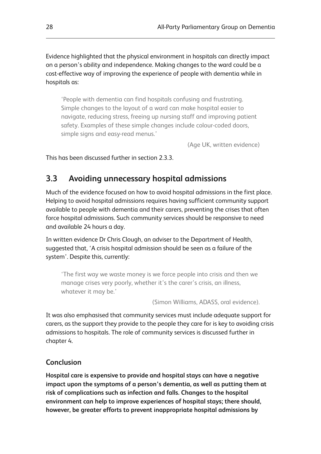Evidence highlighted that the physical environment in hospitals can directly impact on a person's ability and independence. Making changes to the ward could be a cost-effective way of improving the experience of people with dementia while in hospitals as:

'People with dementia can find hospitals confusing and frustrating. Simple changes to the layout of a ward can make hospital easier to navigate, reducing stress, freeing up nursing staff and improving patient safety. Examples of these simple changes include colour-coded doors, simple signs and easy-read menus.'

(Age UK, written evidence)

This has been discussed further in section 2.3.3.

# **3.3 Avoiding unnecessary hospital admissions**

Much of the evidence focused on how to avoid hospital admissions in the first place. Helping to avoid hospital admissions requires having sufficient community support available to people with dementia and their carers, preventing the crises that often force hospital admissions. Such community services should be responsive to need and available 24 hours a day.

In written evidence Dr Chris Clough, an adviser to the Department of Health, suggested that, 'A crisis hospital admission should be seen as a failure of the system'. Despite this, currently:

'The first way we waste money is we force people into crisis and then we manage crises very poorly, whether it's the carer's crisis, an illness, whatever it may be.'

(Simon Williams, ADASS, oral evidence).

It was also emphasised that community services must include adequate support for carers, as the support they provide to the people they care for is key to avoiding crisis admissions to hospitals. The role of community services is discussed further in chapter 4.

## **Conclusion**

**Hospital care is expensive to provide and hospital stays can have a negative impact upon the symptoms of a person's dementia, as well as putting them at risk of complications such as infection and falls. Changes to the hospital environment can help to improve experiences of hospital stays; there should, however, be greater efforts to prevent inappropriate hospital admissions by**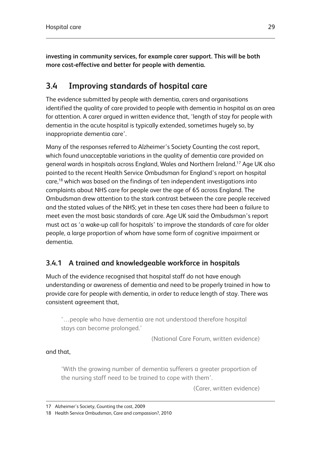**investing in community services, for example carer support. This will be both more cost-effective and better for people with dementia.**

# **3.4 Improving standards of hospital care**

The evidence submitted by people with dementia, carers and organisations identified the quality of care provided to people with dementia in hospital as an area for attention. A carer argued in written evidence that, 'length of stay for people with dementia in the acute hospital is typically extended, sometimes hugely so, by inappropriate dementia care'.

Many of the responses referred to Alzheimer's Society Counting the cost report, which found unacceptable variations in the quality of dementia care provided on general wards in hospitals across England, Wales and Northern Ireland.17 Age UK also pointed to the recent Health Service Ombudsman for England's report on hospital care,18 which was based on the findings of ten independent investigations into complaints about NHS care for people over the age of 65 across England. The Ombudsman drew attention to the stark contrast between the care people received and the stated values of the NHS; yet in these ten cases there had been a failure to meet even the most basic standards of care. Age UK said the Ombudsman's report must act as 'a wake-up call for hospitals' to improve the standards of care for older people, a large proportion of whom have some form of cognitive impairment or dementia.

# **3.4.1 A trained and knowledgeable workforce in hospitals**

Much of the evidence recognised that hospital staff do not have enough understanding or awareness of dementia and need to be properly trained in how to provide care for people with dementia, in order to reduce length of stay. There was consistent agreement that,

'…people who have dementia are not understood therefore hospital stays can become prolonged.'

(National Care Forum, written evidence)

## and that,

'With the growing number of dementia sufferers a greater proportion of the nursing staff need to be trained to cope with them'.

(Carer, written evidence)

<sup>17</sup> Alzheimer's Society, Counting the cost, 2009

<sup>18</sup> Health Service Ombudsman, Care and compassion?, 2010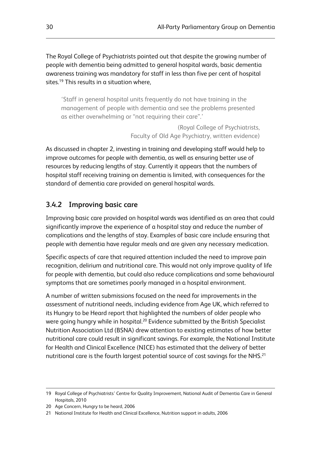The Royal College of Psychiatrists pointed out that despite the growing number of people with dementia being admitted to general hospital wards, basic dementia awareness training was mandatory for staff in less than five per cent of hospital sites.<sup>19</sup> This results in a situation where.

'Staff in general hospital units frequently do not have training in the management of people with dementia and see the problems presented as either overwhelming or "not requiring their care".'

> (Royal College of Psychiatrists, Faculty of Old Age Psychiatry, written evidence)

As discussed in chapter 2, investing in training and developing staff would help to improve outcomes for people with dementia, as well as ensuring better use of resources by reducing lengths of stay. Currently it appears that the numbers of hospital staff receiving training on dementia is limited, with consequences for the standard of dementia care provided on general hospital wards.

# **3.4.2 Improving basic care**

Improving basic care provided on hospital wards was identified as an area that could significantly improve the experience of a hospital stay and reduce the number of complications and the lengths of stay. Examples of basic care include ensuring that people with dementia have regular meals and are given any necessary medication.

Specific aspects of care that required attention included the need to improve pain recognition, delirium and nutritional care. This would not only improve quality of life for people with dementia, but could also reduce complications and some behavioural symptoms that are sometimes poorly managed in a hospital environment.

A number of written submissions focused on the need for improvements in the assessment of nutritional needs, including evidence from Age UK, which referred to its Hungry to be Heard report that highlighted the numbers of older people who were going hungry while in hospital.<sup>20</sup> Evidence submitted by the British Specialist Nutrition Association Ltd (BSNA) drew attention to existing estimates of how better nutritional care could result in significant savings. For example, the National Institute for Health and Clinical Excellence (NICE) has estimated that the delivery of better nutritional care is the fourth largest potential source of cost savings for the NHS.<sup>21</sup>

<sup>19</sup> Royal College of Psychiatrists' Centre for Quality Improvement, National Audit of Dementia Care in General Hospitals, 2010

<sup>20</sup> Age Concern, Hungry to be heard, 2006

<sup>21</sup> National Institute for Health and Clinical Excellence, Nutrition support in adults, 2006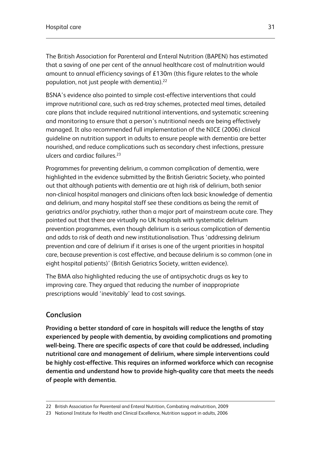The British Association for Parenteral and Enteral Nutrition (BAPEN) has estimated that a saving of one per cent of the annual healthcare cost of malnutrition would amount to annual efficiency savings of £130m (this figure relates to the whole population, not just people with dementia).<sup>22</sup>

BSNA's evidence also pointed to simple cost-effective interventions that could improve nutritional care, such as red-tray schemes, protected meal times, detailed care plans that include required nutritional interventions, and systematic screening and monitoring to ensure that a person's nutritional needs are being effectively managed. It also recommended full implementation of the NICE (2006) clinical guideline on nutrition support in adults to ensure people with dementia are better nourished, and reduce complications such as secondary chest infections, pressure ulcers and cardiac failures.<sup>23</sup>

Programmes for preventing delirium, a common complication of dementia, were highlighted in the evidence submitted by the British Geriatric Society, who pointed out that although patients with dementia are at high risk of delirium, both senior non-clinical hospital managers and clinicians often lack basic knowledge of dementia and delirium, and many hospital staff see these conditions as being the remit of geriatrics and/or psychiatry, rather than a major part of mainstream acute care. They pointed out that there are virtually no UK hospitals with systematic delirium prevention programmes, even though delirium is a serious complication of dementia and adds to risk of death and new institutionalisation. Thus 'addressing delirium prevention and care of delirium if it arises is one of the urgent priorities in hospital care, because prevention is cost effective, and because delirium is so common (one in eight hospital patients)' (British Geriatrics Society, written evidence).

The BMA also highlighted reducing the use of antipsychotic drugs as key to improving care. They argued that reducing the number of inappropriate prescriptions would 'inevitably' lead to cost savings.

## **Conclusion**

**Providing a better standard of care in hospitals will reduce the lengths of stay experienced by people with dementia, by avoiding complications and promoting well-being. There are specific aspects of care that could be addressed, including nutritional care and management of delirium, where simple interventions could be highly cost-effective. This requires an informed workforce which can recognise dementia and understand how to provide high-quality care that meets the needs of people with dementia.**

<sup>22</sup> British Association for Parenteral and Enteral Nutrition, Combating malnutrition, 2009

<sup>23</sup> National Institute for Health and Clinical Excellence, Nutrition support in adults, 2006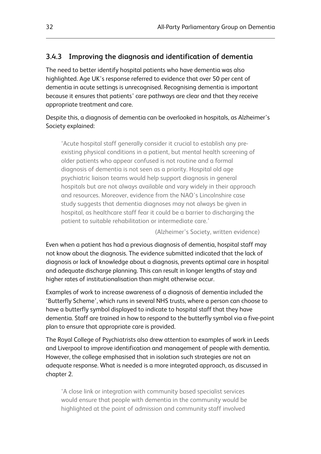# **3.4.3 Improving the diagnosis and identification of dementia**

The need to better identify hospital patients who have dementia was also highlighted. Age UK's response referred to evidence that over 50 per cent of dementia in acute settings is unrecognised. Recognising dementia is important because it ensures that patients' care pathways are clear and that they receive appropriate treatment and care.

Despite this, a diagnosis of dementia can be overlooked in hospitals, as Alzheimer's Society explained:

'Acute hospital staff generally consider it crucial to establish any preexisting physical conditions in a patient, but mental health screening of older patients who appear confused is not routine and a formal diagnosis of dementia is not seen as a priority. Hospital old age psychiatric liaison teams would help support diagnosis in general hospitals but are not always available and vary widely in their approach and resources. Moreover, evidence from the NAO's Lincolnshire case study suggests that dementia diagnoses may not always be given in hospital, as healthcare staff fear it could be a barrier to discharging the patient to suitable rehabilitation or intermediate care.'

(Alzheimer's Society, written evidence)

Even when a patient has had a previous diagnosis of dementia, hospital staff may not know about the diagnosis. The evidence submitted indicated that the lack of diagnosis or lack of knowledge about a diagnosis, prevents optimal care in hospital and adequate discharge planning. This can result in longer lengths of stay and higher rates of institutionalisation than might otherwise occur.

Examples of work to increase awareness of a diagnosis of dementia included the 'Butterfly Scheme', which runs in several NHS trusts, where a person can choose to have a butterfly symbol displayed to indicate to hospital staff that they have dementia. Staff are trained in how to respond to the butterfly symbol via a five-point plan to ensure that appropriate care is provided.

The Royal College of Psychiatrists also drew attention to examples of work in Leeds and Liverpool to improve identification and management of people with dementia. However, the college emphasised that in isolation such strategies are not an adequate response. What is needed is a more integrated approach, as discussed in chapter 2.

'A close link or integration with community based specialist services would ensure that people with dementia in the community would be highlighted at the point of admission and community staff involved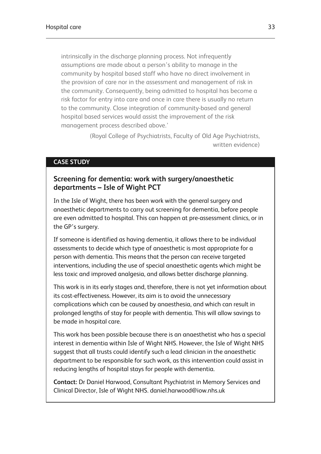intrinsically in the discharge planning process. Not infrequently assumptions are made about a person's ability to manage in the community by hospital based staff who have no direct involvement in the provision of care nor in the assessment and management of risk in the community. Consequently, being admitted to hospital has become a risk factor for entry into care and once in care there is usually no return to the community. Close integration of community-based and general hospital based services would assist the improvement of the risk management process described above.'

> (Royal College of Psychiatrists, Faculty of Old Age Psychiatrists, written evidence)

#### **CASE STUDY**

## **Screening for dementia: work with surgery/anaesthetic departments – Isle of Wight PCT**

In the Isle of Wight, there has been work with the general surgery and anaesthetic departments to carry out screening for dementia, before people are even admitted to hospital. This can happen at pre-assessment clinics, or in the GP's surgery.

If someone is identified as having dementia, it allows there to be individual assessments to decide which type of anaesthetic is most appropriate for a person with dementia. This means that the person can receive targeted interventions, including the use of special anaesthetic agents which might be less toxic and improved analgesia, and allows better discharge planning.

This work is in its early stages and, therefore, there is not yet information about its cost-effectiveness. However, its aim is to avoid the unnecessary complications which can be caused by anaesthesia, and which can result in prolonged lengths of stay for people with dementia. This will allow savings to be made in hospital care.

This work has been possible because there is an anaesthetist who has a special interest in dementia within Isle of Wight NHS. However, the Isle of Wight NHS suggest that all trusts could identify such a lead clinician in the anaesthetic department to be responsible for such work, as this intervention could assist in reducing lengths of hospital stays for people with dementia.

**Contact:** Dr Daniel Harwood, Consultant Psychiatrist in Memory Services and Clinical Director, Isle of Wight NHS. daniel.harwood@iow.nhs.uk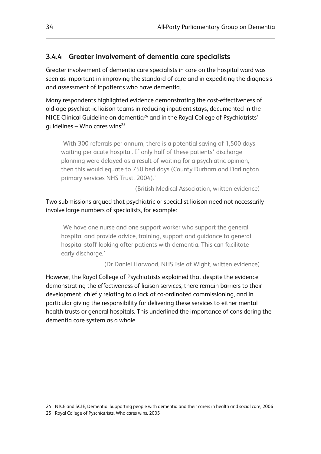## **3.4.4 Greater involvement of dementia care specialists**

Greater involvement of dementia care specialists in care on the hospital ward was seen as important in improving the standard of care and in expediting the diagnosis and assessment of inpatients who have dementia.

Many respondents highlighted evidence demonstrating the cost-effectiveness of old-age psychiatric liaison teams in reducing inpatient stays, documented in the NICE Clinical Guideline on dementia<sup>24</sup> and in the Royal College of Psychiatrists' quidelines – Who cares wins<sup>25</sup>.

'With 300 referrals per annum, there is a potential saving of 1,500 days waiting per acute hospital. If only half of these patients' discharge planning were delayed as a result of waiting for a psychiatric opinion, then this would equate to 750 bed days (County Durham and Darlington primary services NHS Trust, 2004).'

(British Medical Association, written evidence)

## Two submissions argued that psychiatric or specialist liaison need not necessarily involve large numbers of specialists, for example:

'We have one nurse and one support worker who support the general hospital and provide advice, training, support and guidance to general hospital staff looking after patients with dementia. This can facilitate early discharge.'

(Dr Daniel Harwood, NHS Isle of Wight, written evidence)

However, the Royal College of Psychiatrists explained that despite the evidence demonstrating the effectiveness of liaison services, there remain barriers to their development, chiefly relating to a lack of co-ordinated commissioning, and in particular giving the responsibility for delivering these services to either mental health trusts or general hospitals. This underlined the importance of considering the dementia care system as a whole.

<sup>24</sup> NICE and SCIE, Dementia: Supporting people with dementia and their carers in health and social care, 2006

<sup>25</sup> Royal College of Pyschiatrists, Who cares wins, 2005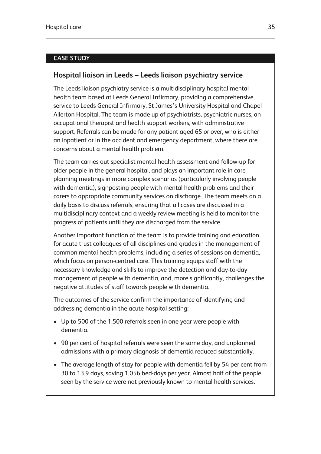#### **CASE STUDY**

## **Hospital liaison in Leeds – Leeds liaison psychiatry service**

The Leeds liaison psychiatry service is a multidisciplinary hospital mental health team based at Leeds General Infirmary, providing a comprehensive service to Leeds General Infirmary, St James's University Hospital and Chapel Allerton Hospital. The team is made up of psychiatrists, psychiatric nurses, an occupational therapist and health support workers, with administrative support. Referrals can be made for any patient aged 65 or over, who is either an inpatient or in the accident and emergency department, where there are concerns about a mental health problem.

The team carries out specialist mental health assessment and follow-up for older people in the general hospital, and plays an important role in care planning meetings in more complex scenarios (particularly involving people with dementia), signposting people with mental health problems and their carers to appropriate community services on discharge. The team meets on a daily basis to discuss referrals, ensuring that all cases are discussed in a multidisciplinary context and a weekly review meeting is held to monitor the progress of patients until they are discharged from the service.

Another important function of the team is to provide training and education for acute trust colleagues of all disciplines and grades in the management of common mental health problems, including a series of sessions on dementia, which focus on person-centred care. This training equips staff with the necessary knowledge and skills to improve the detection and day-to-day management of people with dementia, and, more significantly, challenges the negative attitudes of staff towards people with dementia.

The outcomes of the service confirm the importance of identifying and addressing dementia in the acute hospital setting:

- Up to 500 of the 1,500 referrals seen in one year were people with dementia.
- 90 per cent of hospital referrals were seen the same day, and unplanned admissions with a primary diagnosis of dementia reduced substantially.
- The average length of stay for people with dementia fell by 54 per cent from 30 to 13.9 days, saving 1,056 bed-days per year. Almost half of the people seen by the service were not previously known to mental health services.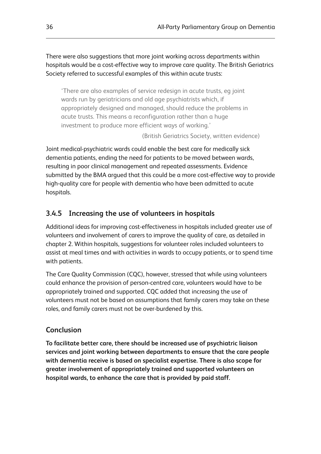There were also suggestions that more joint working across departments within hospitals would be a cost-effective way to improve care quality. The British Geriatrics Society referred to successful examples of this within acute trusts:

'There are also examples of service redesign in acute trusts, eg joint wards run by geriatricians and old age psychiatrists which, if appropriately designed and managed, should reduce the problems in acute trusts. This means a reconfiguration rather than a huge investment to produce more efficient ways of working.'

(British Geriatrics Society, written evidence)

Joint medical-psychiatric wards could enable the best care for medically sick dementia patients, ending the need for patients to be moved between wards, resulting in poor clinical management and repeated assessments. Evidence submitted by the BMA argued that this could be a more cost-effective way to provide high-quality care for people with dementia who have been admitted to acute hospitals.

## **3.4.5 Increasing the use of volunteers in hospitals**

Additional ideas for improving cost-effectiveness in hospitals included greater use of volunteers and involvement of carers to improve the quality of care, as detailed in chapter 2. Within hospitals, suggestions for volunteer roles included volunteers to assist at meal times and with activities in wards to occupy patients, or to spend time with patients.

The Care Quality Commission (CQC), however, stressed that while using volunteers could enhance the provision of person-centred care, volunteers would have to be appropriately trained and supported. CQC added that increasing the use of volunteers must not be based on assumptions that family carers may take on these roles, and family carers must not be over-burdened by this.

## **Conclusion**

**To facilitate better care, there should be increased use of psychiatric liaison services and joint working between departments to ensure that the care people with dementia receive is based on specialist expertise. There is also scope for greater involvement of appropriately trained and supported volunteers on hospital wards, to enhance the care that is provided by paid staff.**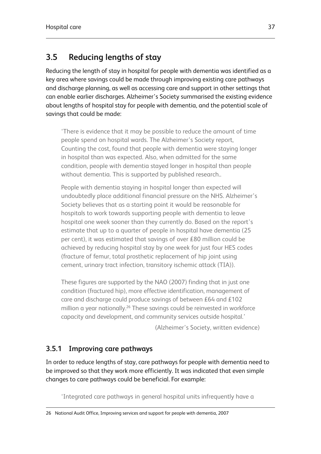# **3.5 Reducing lengths of stay**

Reducing the length of stay in hospital for people with dementia was identified as a key area where savings could be made through improving existing care pathways and discharge planning, as well as accessing care and support in other settings that can enable earlier discharges. Alzheimer's Society summarised the existing evidence about lengths of hospital stay for people with dementia, and the potential scale of savings that could be made:

'There is evidence that it may be possible to reduce the amount of time people spend on hospital wards. The Alzheimer's Society report, Counting the cost, found that people with dementia were staying longer in hospital than was expected. Also, when admitted for the same condition, people with dementia stayed longer in hospital than people without dementia. This is supported by published research..

People with dementia staying in hospital longer than expected will undoubtedly place additional financial pressure on the NHS. Alzheimer's Society believes that as a starting point it would be reasonable for hospitals to work towards supporting people with dementia to leave hospital one week sooner than they currently do. Based on the report's estimate that up to a quarter of people in hospital have dementia (25 per cent), it was estimated that savings of over £80 million could be achieved by reducing hospital stay by one week for just four HES codes (fracture of femur, total prosthetic replacement of hip joint using cement, urinary tract infection, transitory ischemic attack (TIA)).

These figures are supported by the NAO (2007) finding that in just one condition (fractured hip), more effective identification, management of care and discharge could produce savings of between £64 and £102 million a year nationally.<sup>26</sup> These savings could be reinvested in workforce capacity and development, and community services outside hospital.'

(Alzheimer's Society, written evidence)

# **3.5.1 Improving care pathways**

In order to reduce lengths of stay, care pathways for people with dementia need to be improved so that they work more efficiently. It was indicated that even simple changes to care pathways could be beneficial. For example:

'Integrated care pathways in general hospital units infrequently have a

<sup>26</sup> National Audit Office, Improving services and support for people with dementia, 2007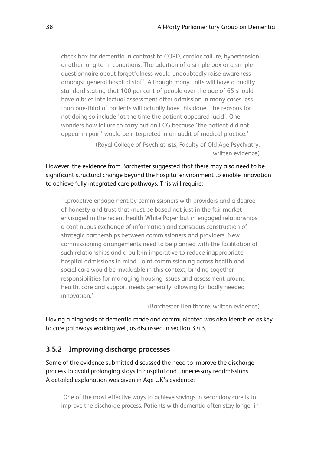check box for dementia in contrast to COPD, cardiac failure, hypertension or other long-term conditions. The addition of a simple box or a simple questionnaire about forgetfulness would undoubtedly raise awareness amongst general hospital staff. Although many units will have a quality standard stating that 100 per cent of people over the age of 65 should have a brief intellectual assessment after admission in many cases less than one-third of patients will actually have this done. The reasons for not doing so include 'at the time the patient appeared lucid'. One wonders how failure to carry out an ECG because 'the patient did not appear in pain' would be interpreted in an audit of medical practice.'

> (Royal College of Psychiatrists, Faculty of Old Age Psychiatry, written evidence)

However, the evidence from Barchester suggested that there may also need to be significant structural change beyond the hospital environment to enable innovation to achieve fully integrated care pathways. This will require:

'...proactive engagement by commissioners with providers and a degree of honesty and trust that must be based not just in the fair market envisaged in the recent health White Paper but in engaged relationships, a continuous exchange of information and conscious construction of strategic partnerships between commissioners and providers. New commissioning arrangements need to be planned with the facilitation of such relationships and a built-in imperative to reduce inappropriate hospital admissions in mind. Joint commissioning across health and social care would be invaluable in this context, binding together responsibilities for managing housing issues and assessment around health, care and support needs generally, allowing for badly needed innovation.'

(Barchester Healthcare, written evidence)

Having a diagnosis of dementia made and communicated was also identified as key to care pathways working well, as discussed in section 3.4.3.

#### **3.5.2 Improving discharge processes**

Some of the evidence submitted discussed the need to improve the discharge process to avoid prolonging stays in hospital and unnecessary readmissions. A detailed explanation was given in Age UK's evidence:

'One of the most effective ways to achieve savings in secondary care is to improve the discharge process. Patients with dementia often stay longer in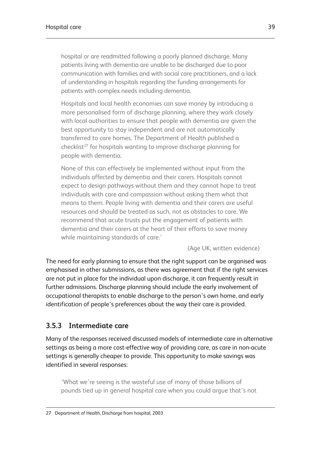hospital or are readmitted following a poorly planned discharge. Many patients living with dementia are unable to be discharged due to poor communication with families and with social care practitioners, and a lack of understanding in hospitals regarding the funding arrangements for patients with complex needs including dementia.

Hospitals and local health economies can save money by introducing a more personalised form of discharge planning, where they work closely with local authorities to ensure that people with dementia are given the best opportunity to stay independent and are not automatically transferred to care homes. The Department of Health published a checklist<sup>27</sup> for hospitals wanting to improve discharge planning for people with dementia.

None of this can effectively be implemented without input from the individuals affected by dementia and their carers. Hospitals cannot expect to design pathways without them and they cannot hope to treat individuals with care and compassion without asking them what that means to them. People living with dementia and their carers are useful resources and should be treated as such, not as obstacles to care. We recommend that acute trusts put the engagement of patients with dementia and their carers at the heart of their efforts to save money while maintaining standards of care.'

(Age UK, written evidence)

The need for early planning to ensure that the right support can be organised was emphasised in other submissions, as there was agreement that if the right services are not put in place for the individual upon discharge, it can frequently result in further admissions. Discharge planning should include the early involvement of occupational therapists to enable discharge to the person's own home, and early identification of people's preferences about the way their care is provided.

## **3.5.3 Intermediate care**

Many of the responses received discussed models of intermediate care in alternative settings as being a more cost-effective way of providing care, as care in non-acute settings is generally cheaper to provide. This opportunity to make savings was identified in several responses:

'What we're seeing is the wasteful use of many of those billions of pounds tied up in general hospital care when you could argue that's not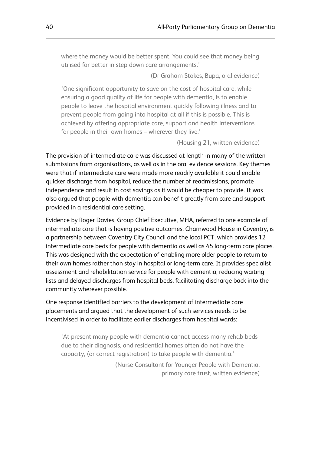where the money would be better spent. You could see that money being utilised far better in step down care arrangements.'

(Dr Graham Stokes, Bupa, oral evidence)

'One significant opportunity to save on the cost of hospital care, while ensuring a good quality of life for people with dementia, is to enable people to leave the hospital environment quickly following illness and to prevent people from going into hospital at all if this is possible. This is achieved by offering appropriate care, support and health interventions for people in their own homes – wherever they live.'

(Housing 21, written evidence)

The provision of intermediate care was discussed at length in many of the written submissions from organisations, as well as in the oral evidence sessions. Key themes were that if intermediate care were made more readily available it could enable quicker discharge from hospital, reduce the number of readmissions, promote independence and result in cost savings as it would be cheaper to provide. It was also argued that people with dementia can benefit greatly from care and support provided in a residential care setting.

Evidence by Roger Davies, Group Chief Executive, MHA, referred to one example of intermediate care that is having positive outcomes: Charnwood House in Coventry, is a partnership between Coventry City Council and the local PCT, which provides 12 intermediate care beds for people with dementia as well as 45 long-term care places. This was designed with the expectation of enabling more older people to return to their own homes rather than stay in hospital or long-term care. It provides specialist assessment and rehabilitation service for people with dementia, reducing waiting lists and delayed discharges from hospital beds, facilitating discharge back into the community wherever possible.

One response identified barriers to the development of intermediate care placements and argued that the development of such services needs to be incentivised in order to facilitate earlier discharges from hospital wards:

'At present many people with dementia cannot access many rehab beds due to their diagnosis, and residential homes often do not have the capacity, (or correct registration) to take people with dementia.'

> (Nurse Consultant for Younger People with Dementia, primary care trust, written evidence)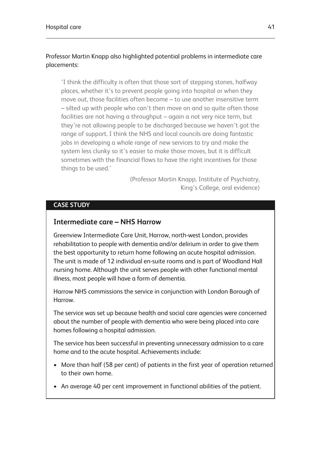## Professor Martin Knapp also highlighted potential problems in intermediate care placements:

'I think the difficulty is often that those sort of stepping stones, halfway places, whether it's to prevent people going into hospital or when they move out, those facilities often become – to use another insensitive term – silted up with people who can't then move on and so quite often those facilities are not having a throughput – again a not very nice term, but they're not allowing people to be discharged because we haven't got the range of support. I think the NHS and local councils are doing fantastic jobs in developing a whole range of new services to try and make the system less clunky so it's easier to make those moves, but it is difficult sometimes with the financial flows to have the right incentives for those things to be used.'

> (Professor Martin Knapp, Institute of Psychiatry, King's College, oral evidence)

## **CASE STUDY**

## **Intermediate care – NHS Harrow**

Greenview Intermediate Care Unit, Harrow, north-west London, provides rehabilitation to people with dementia and/or delirium in order to give them the best opportunity to return home following an acute hospital admission. The unit is made of 12 individual en-suite rooms and is part of Woodland Hall nursing home. Although the unit serves people with other functional mental illness, most people will have a form of dementia.

Harrow NHS commissions the service in conjunction with London Borough of Harrow.

The service was set up because health and social care agencies were concerned about the number of people with dementia who were being placed into care homes following a hospital admission.

The service has been successful in preventing unnecessary admission to a care home and to the acute hospital. Achievements include:

- More than half (58 per cent) of patients in the first year of operation returned to their own home.
- An average 40 per cent improvement in functional abilities of the patient.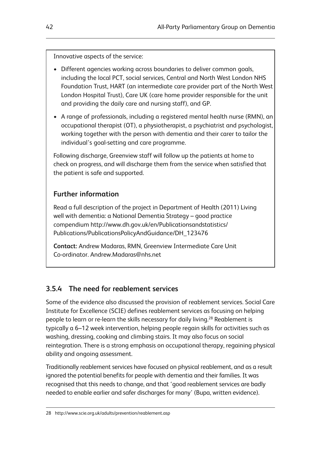Innovative aspects of the service:

- Different agencies working across boundaries to deliver common goals, including the local PCT, social services, Central and North West London NHS Foundation Trust, HART (an intermediate care provider part of the North West London Hospital Trust), Care UK (care home provider responsible for the unit and providing the daily care and nursing staff), and GP.
- A range of professionals, including a registered mental health nurse (RMN), an occupational therapist (OT), a physiotherapist, a psychiatrist and psychologist, working together with the person with dementia and their carer to tailor the individual's goal-setting and care programme.

Following discharge, Greenview staff will follow up the patients at home to check on progress, and will discharge them from the service when satisfied that the patient is safe and supported.

# **Further information**

Read a full description of the project in Department of Health (2011) Living well with dementia: a National Dementia Strategy – good practice compendium http://www.dh.gov.uk/en/Publicationsandstatistics/ Publications/PublicationsPolicyAndGuidance/DH\_123476

**Contact:** Andrew Madaras, RMN, Greenview Intermediate Care Unit Co-ordinator. Andrew.Madaras@nhs.net

# **3.5.4 The need for reablement services**

Some of the evidence also discussed the provision of reablement services. Social Care Institute for Excellence (SCIE) defines reablement services as focusing on helping people to learn or re-learn the skills necessary for daily living.<sup>28</sup> Reablement is typically a 6–12 week intervention, helping people regain skills for activities such as washing, dressing, cooking and climbing stairs. It may also focus on social reintegration. There is a strong emphasis on occupational therapy, regaining physical ability and ongoing assessment.

Traditionally reablement services have focused on physical reablement, and as a result ignored the potential benefits for people with dementia and their families. It was recognised that this needs to change, and that 'good reablement services are badly needed to enable earlier and safer discharges for many' (Bupa, written evidence).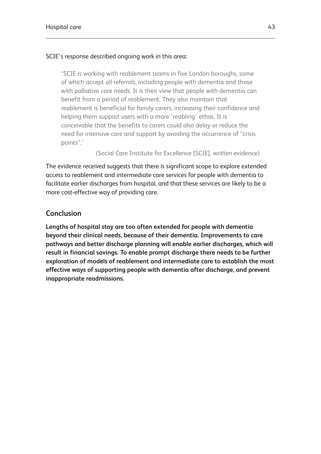#### SCIE's response described ongoing work in this area:

'SCIE is working with reablement teams in five London boroughs, some of which accept all referrals, including people with dementia and those with palliative care needs. It is their view that people with dementia can benefit from a period of reablement. They also maintain that reablement is beneficial for family carers, increasing their confidence and helping them support users with a more 'reabling' ethos. It is conceivable that the benefits to carers could also delay or reduce the need for intensive care and support by avoiding the occurrence of "crisis points".'

(Social Care Institute for Excellence [SCIE], written evidence)

The evidence received suggests that there is significant scope to explore extended access to reablement and intermediate care services for people with dementia to facilitate earlier discharges from hospital, and that these services are likely to be a more cost-effective way of providing care.

## **Conclusion**

**Lengths of hospital stay are too often extended for people with dementia beyond their clinical needs, because of their dementia. Improvements to care pathways and better discharge planning will enable earlier discharges, which will result in financial savings. To enable prompt discharge there needs to be further exploration of models of reablement and intermediate care to establish the most effective ways of supporting people with dementia after discharge, and prevent inappropriate readmissions.**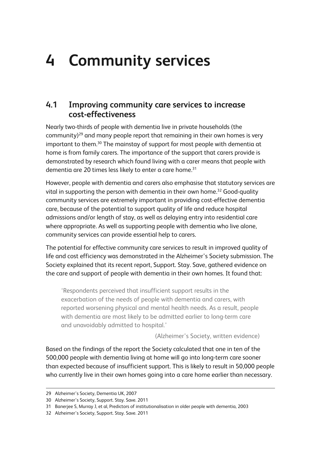# **4 Community services**

# **4.1 Improving community care services to increase cost-effectiveness**

Nearly two-thirds of people with dementia live in private households (the community)<sup>29</sup> and many people report that remaining in their own homes is very important to them.<sup>30</sup> The mainstay of support for most people with dementia at home is from family carers. The importance of the support that carers provide is demonstrated by research which found living with a carer means that people with dementia are 20 times less likely to enter a care home.<sup>31</sup>

However, people with dementia and carers also emphasise that statutory services are vital in supporting the person with dementia in their own home.<sup>32</sup> Good-quality community services are extremely important in providing cost-effective dementia care, because of the potential to support quality of life and reduce hospital admissions and/or length of stay, as well as delaying entry into residential care where appropriate. As well as supporting people with dementia who live alone, community services can provide essential help to carers.

The potential for effective community care services to result in improved quality of life and cost efficiency was demonstrated in the Alzheimer's Society submission. The Society explained that its recent report, Support. Stay. Save, gathered evidence on the care and support of people with dementia in their own homes. It found that:

'Respondents perceived that insufficient support results in the exacerbation of the needs of people with dementia and carers, with reported worsening physical and mental health needs. As a result, people with dementia are most likely to be admitted earlier to long-term care and unavoidably admitted to hospital.'

(Alzheimer's Society, written evidence)

Based on the findings of the report the Society calculated that one in ten of the 500,000 people with dementia living at home will go into long-term care sooner than expected because of insufficient support. This is likely to result in 50,000 people who currently live in their own homes going into a care home earlier than necessary.

<sup>29</sup> Alzheimer's Society, Dementia UK, 2007

<sup>30</sup> Alzheimer's Society, Support. Stay. Save. 2011

<sup>31</sup> Banerjee S, Murray J, et al, Predictors of institutionalisation in older people with dementia, 2003

<sup>32</sup> Alzheimer's Society, Support. Stay. Save. 2011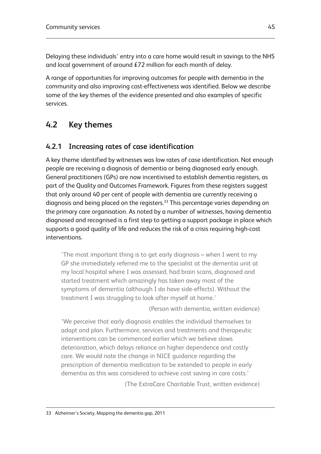Delaying these individuals' entry into a care home would result in savings to the NHS and local government of around £72 million for each month of delay.

A range of opportunities for improving outcomes for people with dementia in the community and also improving cost-effectiveness was identified. Below we describe some of the key themes of the evidence presented and also examples of specific services.

# **4.2 Key themes**

# **4.2.1 Increasing rates of case identification**

A key theme identified by witnesses was low rates of case identification. Not enough people are receiving a diagnosis of dementia or being diagnosed early enough. General practitioners (GPs) are now incentivised to establish dementia registers, as part of the Quality and Outcomes Framework. Figures from these registers suggest that only around 40 per cent of people with dementia are currently receiving a diagnosis and being placed on the registers.<sup>33</sup> This percentage varies depending on the primary care organisation. As noted by a number of witnesses, having dementia diagnosed and recognised is a first step to getting a support package in place which supports a good quality of life and reduces the risk of a crisis requiring high-cost interventions.

'The most important thing is to get early diagnosis – when I went to my GP she immediately referred me to the specialist at the dementia unit at my local hospital where I was assessed, had brain scans, diagnosed and started treatment which amazingly has taken away most of the symptoms of dementia (although I do have side-effects). Without the treatment I was struggling to look after myself at home.'

(Person with dementia, written evidence)

'We perceive that early diagnosis enables the individual themselves to adapt and plan. Furthermore, services and treatments and therapeutic interventions can be commenced earlier which we believe slows deterioration, which delays reliance on higher dependence and costly care. We would note the change in NICE guidance regarding the prescription of dementia medication to be extended to people in early dementia as this was considered to achieve cost saving in care costs.'

(The ExtraCare Charitable Trust, written evidence)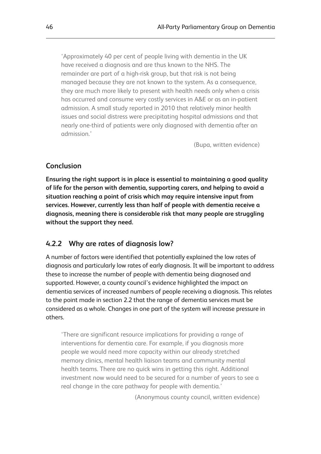'Approximately 40 per cent of people living with dementia in the UK have received a diagnosis and are thus known to the NHS. The remainder are part of a high-risk group, but that risk is not being managed because they are not known to the system. As a consequence, they are much more likely to present with health needs only when a crisis has occurred and consume very costly services in A&E or as an in-patient admission. A small study reported in 2010 that relatively minor health issues and social distress were precipitating hospital admissions and that nearly one-third of patients were only diagnosed with dementia after an admission.'

(Bupa, written evidence)

## **Conclusion**

**Ensuring the right support is in place is essential to maintaining a good quality of life for the person with dementia, supporting carers, and helping to avoid a situation reaching a point of crisis which may require intensive input from services. However, currently less than half of people with dementia receive a diagnosis, meaning there is considerable risk that many people are struggling without the support they need.**

## **4.2.2 Why are rates of diagnosis low?**

A number of factors were identified that potentially explained the low rates of diagnosis and particularly low rates of early diagnosis. It will be important to address these to increase the number of people with dementia being diagnosed and supported. However, a county council's evidence highlighted the impact on dementia services of increased numbers of people receiving a diagnosis. This relates to the point made in section 2.2 that the range of dementia services must be considered as a whole. Changes in one part of the system will increase pressure in others.

'There are significant resource implications for providing a range of interventions for dementia care. For example, if you diagnosis more people we would need more capacity within our already stretched memory clinics, mental health liaison teams and community mental health teams. There are no quick wins in getting this right. Additional investment now would need to be secured for a number of years to see a real change in the care pathway for people with dementia.'

(Anonymous county council, written evidence)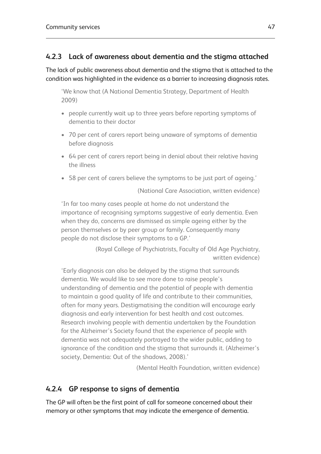# **4.2.3 Lack of awareness about dementia and the stigma attached**

The lack of public awareness about dementia and the stigma that is attached to the condition was highlighted in the evidence as a barrier to increasing diagnosis rates.

'We know that (A National Dementia Strategy, Department of Health 2009)

- people currently wait up to three years before reporting symptoms of dementia to their doctor
- 70 per cent of carers report being unaware of symptoms of dementia before diagnosis
- 64 per cent of carers report being in denial about their relative having the illness
- 58 per cent of carers believe the symptoms to be just part of ageing.'

(National Care Association, written evidence)

'In far too many cases people at home do not understand the importance of recognising symptoms suggestive of early dementia. Even when they do, concerns are dismissed as simple ageing either by the person themselves or by peer group or family. Consequently many people do not disclose their symptoms to a GP.'

> (Royal College of Psychiatrists, Faculty of Old Age Psychiatry, written evidence)

'Early diagnosis can also be delayed by the stigma that surrounds dementia. We would like to see more done to raise people's understanding of dementia and the potential of people with dementia to maintain a good quality of life and contribute to their communities, often for many years. Destigmatising the condition will encourage early diagnosis and early intervention for best health and cost outcomes. Research involving people with dementia undertaken by the Foundation for the Alzheimer's Society found that the experience of people with dementia was not adequately portrayed to the wider public, adding to ignorance of the condition and the stigma that surrounds it. (Alzheimer's society, Dementia: Out of the shadows, 2008).'

(Mental Health Foundation, written evidence)

# **4.2.4 GP response to signs of dementia**

The GP will often be the first point of call for someone concerned about their memory or other symptoms that may indicate the emergence of dementia.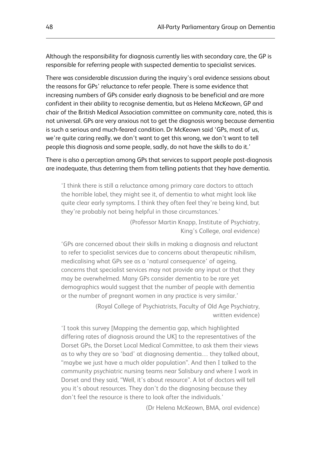Although the responsibility for diagnosis currently lies with secondary care, the GP is responsible for referring people with suspected dementia to specialist services.

There was considerable discussion during the inquiry's oral evidence sessions about the reasons for GPs' reluctance to refer people. There is some evidence that increasing numbers of GPs consider early diagnosis to be beneficial and are more confident in their ability to recognise dementia, but as Helena McKeown, GP and chair of the British Medical Association committee on community care, noted, this is not universal. GPs are very anxious not to get the diagnosis wrong because dementia is such a serious and much-feared condition. Dr McKeown said 'GPs, most of us, we're quite caring really, we don't want to get this wrong, we don't want to tell people this diagnosis and some people, sadly, do not have the skills to do it.'

There is also a perception among GPs that services to support people post-diagnosis are inadequate, thus deterring them from telling patients that they have dementia.

'I think there is still a reluctance among primary care doctors to attach the horrible label, they might see it, of dementia to what might look like quite clear early symptoms. I think they often feel they're being kind, but they're probably not being helpful in those circumstances.'

> (Professor Martin Knapp, Institute of Psychiatry, King's College, oral evidence)

'GPs are concerned about their skills in making a diagnosis and reluctant to refer to specialist services due to concerns about therapeutic nihilism, medicalising what GPs see as a 'natural consequence' of ageing, concerns that specialist services may not provide any input or that they may be overwhelmed. Many GPs consider dementia to be rare yet demographics would suggest that the number of people with dementia or the number of pregnant women in any practice is very similar.'

> (Royal College of Psychiatrists, Faculty of Old Age Psychiatry, written evidence)

'I took this survey [Mapping the dementia gap, which highlighted differing rates of diagnosis around the UK] to the representatives of the Dorset GPs, the Dorset Local Medical Committee, to ask them their views as to why they are so 'bad' at diagnosing dementia… they talked about, "maybe we just have a much older population". And then I talked to the community psychiatric nursing teams near Salisbury and where I work in Dorset and they said, "Well, it's about resource". A lot of doctors will tell you it's about resources. They don't do the diagnosing because they don't feel the resource is there to look after the individuals.'

(Dr Helena McKeown, BMA, oral evidence)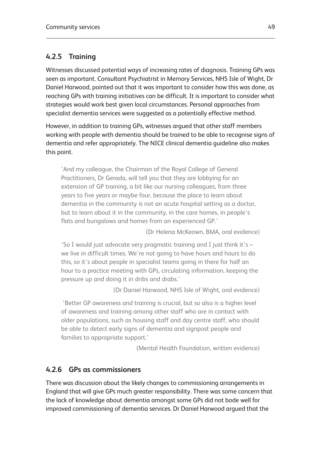# **4.2.5 Training**

Witnesses discussed potential ways of increasing rates of diagnosis. Training GPs was seen as important. Consultant Psychiatrist in Memory Services, NHS Isle of Wight, Dr Daniel Harwood, pointed out that it was important to consider how this was done, as reaching GPs with training initiatives can be difficult. It is important to consider what strategies would work best given local circumstances. Personal approaches from specialist dementia services were suggested as a potentially effective method.

However, in addition to training GPs, witnesses argued that other staff members working with people with dementia should be trained to be able to recognise signs of dementia and refer appropriately. The NICE clinical dementia guideline also makes this point.

'And my colleague, the Chairman of the Royal College of General Practitioners, Dr Gerada, will tell you that they are lobbying for an extension of GP training, a bit like our nursing colleagues, from three years to five years or maybe four, because the place to learn about dementia in the community is not an acute hospital setting as a doctor, but to learn about it in the community, in the care homes, in people's flats and bungalows and homes from an experienced GP.'

(Dr Helena McKeown, BMA, oral evidence)

'So I would just advocate very pragmatic training and I just think it's – we live in difficult times. We're not going to have hours and hours to do this, so it's about people in specialist teams going in there for half an hour to a practice meeting with GPs, circulating information, keeping the pressure up and doing it in dribs and drabs.'

(Dr Daniel Harwood, NHS Isle of Wight, oral evidence)

'Better GP awareness and training is crucial, but so also is a higher level of awareness and training among other staff who are in contact with older populations, such as housing staff and day centre staff, who should be able to detect early signs of dementia and signpost people and families to appropriate support.'

(Mental Health Foundation, written evidence)

# **4.2.6 GPs as commissioners**

There was discussion about the likely changes to commissioning arrangements in England that will give GPs much greater responsibility. There was some concern that the lack of knowledge about dementia amongst some GPs did not bode well for improved commissioning of dementia services. Dr Daniel Harwood argued that the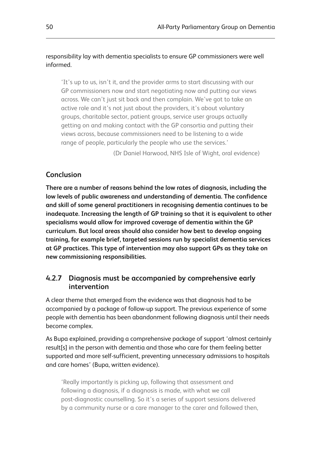## responsibility lay with dementia specialists to ensure GP commissioners were well informed.

'It's up to us, isn't it, and the provider arms to start discussing with our GP commissioners now and start negotiating now and putting our views across. We can't just sit back and then complain. We've got to take an active role and it's not just about the providers, it's about voluntary groups, charitable sector, patient groups, service user groups actually getting on and making contact with the GP consortia and putting their views across, because commissioners need to be listening to a wide range of people, particularly the people who use the services.'

(Dr Daniel Harwood, NHS Isle of Wight, oral evidence)

# **Conclusion**

**There are a number of reasons behind the low rates of diagnosis, including the low levels of public awareness and understanding of dementia. The confidence and skill of some general practitioners in recognising dementia continues to be inadequate. Increasing the length of GP training so that it is equivalent to other specialisms would allow for improved coverage of dementia within the GP curriculum. But local areas should also consider how best to develop ongoing training, for example brief, targeted sessions run by specialist dementia services at GP practices. This type of intervention may also support GPs as they take on new commissioning responsibilities.**

# **4.2.7 Diagnosis must be accompanied by comprehensive early intervention**

A clear theme that emerged from the evidence was that diagnosis had to be accompanied by a package of follow-up support. The previous experience of some people with dementia has been abandonment following diagnosis until their needs become complex.

As Bupa explained, providing a comprehensive package of support 'almost certainly result[s] in the person with dementia and those who care for them feeling better supported and more self-sufficient, preventing unnecessary admissions to hospitals and care homes' (Bupa, written evidence).

'Really importantly is picking up, following that assessment and following a diagnosis, if a diagnosis is made, with what we call post-diagnostic counselling. So it's a series of support sessions delivered by a community nurse or a care manager to the carer and followed then,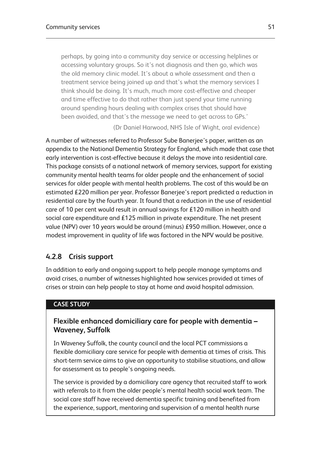perhaps, by going into a community day service or accessing helplines or accessing voluntary groups. So it's not diagnosis and then go, which was the old memory clinic model. It's about a whole assessment and then a treatment service being joined up and that's what the memory services I think should be doing. It's much, much more cost-effective and cheaper and time effective to do that rather than just spend your time running around spending hours dealing with complex crises that should have been avoided, and that's the message we need to get across to GPs.'

(Dr Daniel Harwood, NHS Isle of Wight, oral evidence)

A number of witnesses referred to Professor Sube Banerjee's paper, written as an appendix to the National Dementia Strategy for England, which made that case that early intervention is cost-effective because it delays the move into residential care. This package consists of a national network of memory services, support for existing community mental health teams for older people and the enhancement of social services for older people with mental health problems. The cost of this would be an estimated £220 million per year. Professor Banerjee's report predicted a reduction in residential care by the fourth year. It found that a reduction in the use of residential care of 10 per cent would result in annual savings for £120 million in health and social care expenditure and £125 million in private expenditure. The net present value (NPV) over 10 years would be around (minus) £950 million. However, once a modest improvement in quality of life was factored in the NPV would be positive.

# **4.2.8 Crisis support**

In addition to early and ongoing support to help people manage symptoms and avoid crises, a number of witnesses highlighted how services provided at times of crises or strain can help people to stay at home and avoid hospital admission.

## **CASE STUDY**

## **Flexible enhanced domiciliary care for people with dementia – Waveney, Suffolk**

In Waveney Suffolk, the county council and the local PCT commissions a flexible domiciliary care service for people with dementia at times of crisis. This short-term service aims to give an opportunity to stabilise situations, and allow for assessment as to people's ongoing needs.

The service is provided by a domiciliary care agency that recruited staff to work with referrals to it from the older people's mental health social work team. The social care staff have received dementia specific training and benefited from the experience, support, mentoring and supervision of a mental health nurse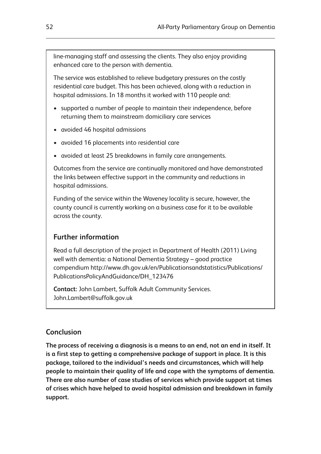line-managing staff and assessing the clients. They also enjoy providing enhanced care to the person with dementia.

The service was established to relieve budgetary pressures on the costly residential care budget. This has been achieved, along with a reduction in hospital admissions. In 18 months it worked with 110 people and:

- supported a number of people to maintain their independence, before returning them to mainstream domiciliary care services
- avoided 46 hospital admissions
- avoided 16 placements into residential care
- avoided at least 25 breakdowns in family care arrangements.

Outcomes from the service are continually monitored and have demonstrated the links between effective support in the community and reductions in hospital admissions.

Funding of the service within the Waveney locality is secure, however, the county council is currently working on a business case for it to be available across the county.

# **Further information**

Read a full description of the project in Department of Health (2011) Living well with dementia: a National Dementia Strategy – good practice compendium http://www.dh.gov.uk/en/Publicationsandstatistics/Publications/ PublicationsPolicyAndGuidance/DH\_123476

**Contact:** John Lambert, Suffolk Adult Community Services. John.Lambert@suffolk.gov.uk

# **Conclusion**

**The process of receiving a diagnosis is a means to an end, not an end in itself. It is a first step to getting a comprehensive package of support in place. It is this package, tailored to the individual's needs and circumstances, which will help people to maintain their quality of life and cope with the symptoms of dementia. There are also number of case studies of services which provide support at times of crises which have helped to avoid hospital admission and breakdown in family support.**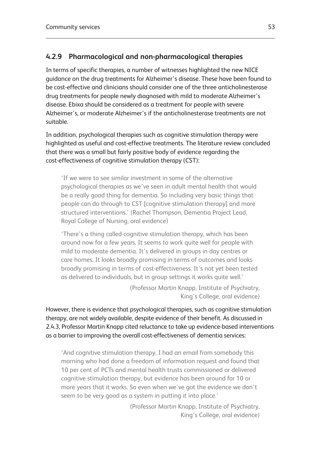# **4.2.9 Pharmacological and non-pharmacological therapies**

In terms of specific therapies, a number of witnesses highlighted the new NICE guidance on the drug treatments for Alzheimer's disease. These have been found to be cost-effective and clinicians should consider one of the three anticholinesterase drug treatments for people newly diagnosed with mild to moderate Alzheimer's disease. Ebixa should be considered as a treatment for people with severe Alzheimer's, or moderate Alzheimer's if the anticholinesterase treatments are not suitable.

In addition, psychological therapies such as cognitive stimulation therapy were highlighted as useful and cost-effective treatments. The literature review concluded that there was a small but fairly positive body of evidence regarding the cost-effectiveness of cognitive stimulation therapy (CST):

'If we were to see similar investment in some of the alternative psychological therapies as we've seen in adult mental health that would be a really good thing for dementia. So including very basic things that people can do through to CST [cognitive stimulation therapy] and more structured interventions.' (Rachel Thompson, Dementia Project Lead, Royal College of Nursing, oral evidence)

'There's a thing called cognitive stimulation therapy, which has been around now for a few years. It seems to work quite well for people with mild to moderate dementia. It's delivered in groups in day centres or care homes. It looks broadly promising in terms of outcomes and looks broadly promising in terms of cost-effectiveness. It's not yet been tested as delivered to individuals, but in group settings it works quite well.'

> (Professor Martin Knapp, Institute of Psychiatry, King's College, oral evidence)

However, there is evidence that psychological therapies, such as cognitive stimulation therapy, are not widely available, despite evidence of their benefit. As discussed in 2.4.3, Professor Martin Knapp cited reluctance to take up evidence-based interventions as a barrier to improving the overall cost-effectiveness of dementia services:

'And cognitive stimulation therapy, I had an email from somebody this morning who had done a freedom of information request and found that 10 per cent of PCTs and mental health trusts commissioned or delivered cognitive stimulation therapy, but evidence has been around for 10 or more years that it works. So even when we've got the evidence we don't seem to be very good as a system in putting it into place.'

> (Professor Martin Knapp, Institute of Psychiatry, King's College, oral evidence)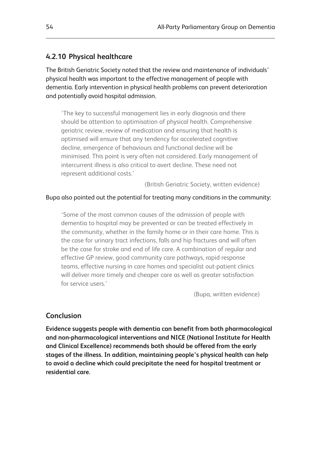## **4.2.10 Physical healthcare**

The British Geriatric Society noted that the review and maintenance of individuals' physical health was important to the effective management of people with dementia. Early intervention in physical health problems can prevent deterioration and potentially avoid hospital admission.

'The key to successful management lies in early diagnosis and there should be attention to optimisation of physical health. Comprehensive geriatric review, review of medication and ensuring that health is optimised will ensure that any tendency for accelerated cognitive decline, emergence of behaviours and functional decline will be minimised. This point is very often not considered. Early management of intercurrent illness is also critical to avert decline. These need not represent additional costs.'

(British Geriatric Society, written evidence)

#### Bupa also pointed out the potential for treating many conditions in the community:

'Some of the most common causes of the admission of people with dementia to hospital may be prevented or can be treated effectively in the community, whether in the family home or in their care home. This is the case for urinary tract infections, falls and hip fractures and will often be the case for stroke and end of life care. A combination of regular and effective GP review, good community care pathways, rapid response teams, effective nursing in care homes and specialist out-patient clinics will deliver more timely and cheaper care as well as greater satisfaction for service users.'

(Bupa, written evidence)

## **Conclusion**

**Evidence suggests people with dementia can benefit from both pharmacological and non-pharmacological interventions and NICE (National Institute for Health and Clinical Excellence) recommends both should be offered from the early stages of the illness. In addition, maintaining people's physical health can help to avoid a decline which could precipitate the need for hospital treatment or residential care.**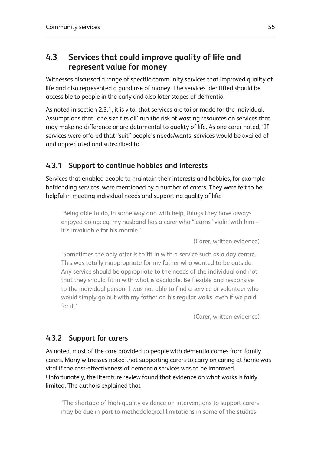# **4.3 Services that could improve quality of life and represent value for money**

Witnesses discussed a range of specific community services that improved quality of life and also represented a good use of money. The services identified should be accessible to people in the early and also later stages of dementia.

As noted in section 2.3.1, it is vital that services are tailor-made for the individual. Assumptions that 'one size fits all' run the risk of wasting resources on services that may make no difference or are detrimental to quality of life. As one carer noted, 'If services were offered that "suit" people's needs/wants, services would be availed of and appreciated and subscribed to.'

# **4.3.1 Support to continue hobbies and interests**

Services that enabled people to maintain their interests and hobbies, for example befriending services, were mentioned by a number of carers. They were felt to be helpful in meeting individual needs and supporting quality of life:

'Being able to do, in some way and with help, things they have always enjoyed doing: eg, my husband has a carer who "learns" violin with him – it's invaluable for his morale.'

(Carer, written evidence)

'Sometimes the only offer is to fit in with a service such as a day centre. This was totally inappropriate for my father who wanted to be outside. Any service should be appropriate to the needs of the individual and not that they should fit in with what is available. Be flexible and responsive to the individual person. I was not able to find a service or volunteer who would simply go out with my father on his regular walks, even if we paid for it.'

(Carer, written evidence)

# **4.3.2 Support for carers**

As noted, most of the care provided to people with dementia comes from family carers. Many witnesses noted that supporting carers to carry on caring at home was vital if the cost-effectiveness of dementia services was to be improved. Unfortunately, the literature review found that evidence on what works is fairly limited. The authors explained that

'The shortage of high-quality evidence on interventions to support carers may be due in part to methodological limitations in some of the studies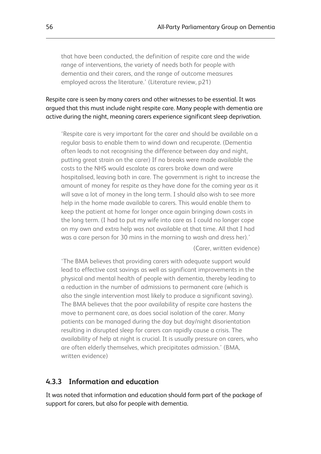that have been conducted, the definition of respite care and the wide range of interventions, the variety of needs both for people with dementia and their carers, and the range of outcome measures employed across the literature.' (Literature review, p21)

Respite care is seen by many carers and other witnesses to be essential. It was argued that this must include night respite care. Many people with dementia are active during the night, meaning carers experience significant sleep deprivation.

'Respite care is very important for the carer and should be available on a regular basis to enable them to wind down and recuperate. (Dementia often leads to not recognising the difference between day and night, putting great strain on the carer) If no breaks were made available the costs to the NHS would escalate as carers broke down and were hospitalised, leaving both in care. The government is right to increase the amount of money for respite as they have done for the coming year as it will save a lot of money in the long term. I should also wish to see more help in the home made available to carers. This would enable them to keep the patient at home for longer once again bringing down costs in the long term. (I had to put my wife into care as I could no longer cope on my own and extra help was not available at that time. All that I had was a care person for 30 mins in the morning to wash and dress her).'

(Carer, written evidence)

'The BMA believes that providing carers with adequate support would lead to effective cost savings as well as significant improvements in the physical and mental health of people with dementia, thereby leading to a reduction in the number of admissions to permanent care (which is also the single intervention most likely to produce a significant saving). The BMA believes that the poor availability of respite care hastens the move to permanent care, as does social isolation of the carer. Many patients can be managed during the day but day/night disorientation resulting in disrupted sleep for carers can rapidly cause a crisis. The availability of help at night is crucial. It is usually pressure on carers, who are often elderly themselves, which precipitates admission.' (BMA, written evidence)

## **4.3.3 Information and education**

It was noted that information and education should form part of the package of support for carers, but also for people with dementia.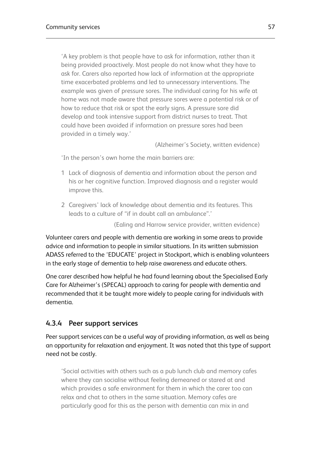'A key problem is that people have to ask for information, rather than it being provided proactively. Most people do not know what they have to ask for. Carers also reported how lack of information at the appropriate time exacerbated problems and led to unnecessary interventions. The example was given of pressure sores. The individual caring for his wife at home was not made aware that pressure sores were a potential risk or of how to reduce that risk or spot the early signs. A pressure sore did develop and took intensive support from district nurses to treat. That could have been avoided if information on pressure sores had been provided in a timely way.'

(Alzheimer's Society, written evidence)

'In the person's own home the main barriers are:

- 1 Lack of diagnosis of dementia and information about the person and his or her cognitive function. Improved diagnosis and a register would improve this.
- 2 Caregivers' lack of knowledge about dementia and its features. This leads to a culture of "if in doubt call an ambulance".'

(Ealing and Harrow service provider, written evidence)

Volunteer carers and people with dementia are working in some areas to provide advice and information to people in similar situations. In its written submission ADASS referred to the 'EDUCATE' project in Stockport, which is enabling volunteers in the early stage of dementia to help raise awareness and educate others.

One carer described how helpful he had found learning about the Specialised Early Care for Alzheimer's (SPECAL) approach to caring for people with dementia and recommended that it be taught more widely to people caring for individuals with dementia.

### **4.3.4 Peer support services**

Peer support services can be a useful way of providing information, as well as being an opportunity for relaxation and enjoyment. It was noted that this type of support need not be costly.

'Social activities with others such as a pub lunch club and memory cafes where they can socialise without feeling demeaned or stared at and which provides a safe environment for them in which the carer too can relax and chat to others in the same situation. Memory cafes are particularly good for this as the person with dementia can mix in and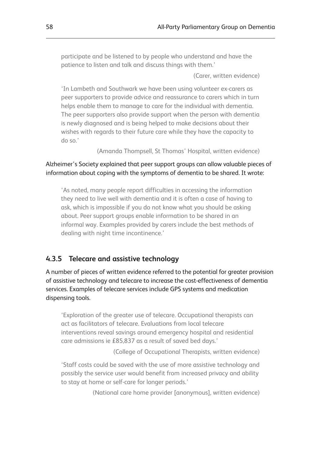participate and be listened to by people who understand and have the patience to listen and talk and discuss things with them.'

(Carer, written evidence)

'In Lambeth and Southwark we have been using volunteer ex-carers as peer supporters to provide advice and reassurance to carers which in turn helps enable them to manage to care for the individual with dementia. The peer supporters also provide support when the person with dementia is newly diagnosed and is being helped to make decisions about their wishes with regards to their future care while they have the capacity to do so.'

(Amanda Thompsell, St Thomas' Hospital, written evidence)

#### Alzheimer's Society explained that peer support groups can allow valuable pieces of information about coping with the symptoms of dementia to be shared. It wrote:

'As noted, many people report difficulties in accessing the information they need to live well with dementia and it is often a case of having to ask, which is impossible if you do not know what you should be asking about. Peer support groups enable information to be shared in an informal way. Examples provided by carers include the best methods of dealing with night time incontinence.'

#### **4.3.5 Telecare and assistive technology**

A number of pieces of written evidence referred to the potential for greater provision of assistive technology and telecare to increase the cost-effectiveness of dementia services. Examples of telecare services include GPS systems and medication dispensing tools.

'Exploration of the greater use of telecare. Occupational therapists can act as facilitators of telecare. Evaluations from local telecare interventions reveal savings around emergency hospital and residential care admissions ie £85,837 as a result of saved bed days.'

(College of Occupational Therapists, written evidence)

'Staff costs could be saved with the use of more assistive technology and possibly the service user would benefit from increased privacy and ability to stay at home or self-care for longer periods.'

(National care home provider [anonymous], written evidence)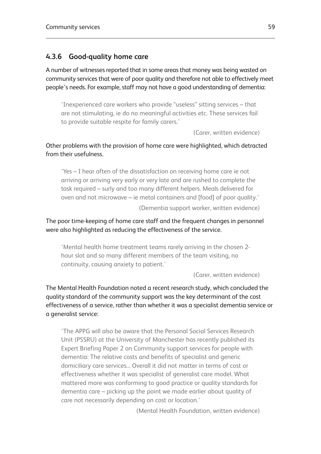## **4.3.6 Good-quality home care**

A number of witnesses reported that in some areas that money was being wasted on community services that were of poor quality and therefore not able to effectively meet people's needs. For example, staff may not have a good understanding of dementia:

'Inexperienced care workers who provide "useless" sitting services – that are not stimulating, ie do no meaningful activities etc. These services fail to provide suitable respite for family carers.'

(Carer, written evidence)

Other problems with the provision of home care were highlighted, which detracted from their usefulness.

'Yes – I hear often of the dissatisfaction on receiving home care ie not arriving or arriving very early or very late and are rushed to complete the task required – surly and too many different helpers. Meals delivered for oven and not microwave – ie metal containers and [food] of poor quality.' (Dementia support worker, written evidence)

The poor time-keeping of home care staff and the frequent changes in personnel were also highlighted as reducing the effectiveness of the service.

'Mental health home treatment teams rarely arriving in the chosen 2 hour slot and so many different members of the team visiting, no continuity, causing anxiety to patient.'

(Carer, written evidence)

The Mental Health Foundation noted a recent research study, which concluded the quality standard of the community support was the key determinant of the cost effectiveness of a service, rather than whether it was a specialist dementia service or a generalist service:

'The APPG will also be aware that the Personal Social Services Research Unit (PSSRU) at the University of Manchester has recently published its Expert Briefing Paper 2 on Community support services for people with dementia: The relative costs and benefits of specialist and generic domiciliary care services... Overall it did not matter in terms of cost or effectiveness whether it was specialist of generalist care model. What mattered more was conforming to good practice or quality standards for dementia care – picking up the point we made earlier about quality of care not necessarily depending on cost or location.'

(Mental Health Foundation, written evidence)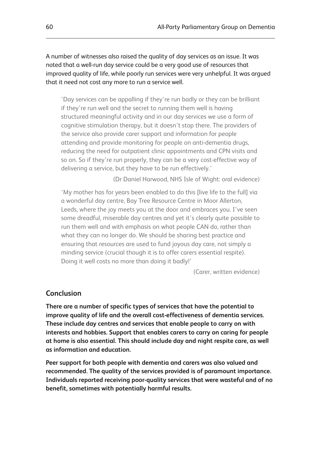A number of witnesses also raised the quality of day services as an issue. It was noted that a well-run day service could be a very good use of resources that improved quality of life, while poorly run services were very unhelpful. It was argued that it need not cost any more to run a service well.

'Day services can be appalling if they're run badly or they can be brilliant if they're run well and the secret to running them well is having structured meaningful activity and in our day services we use a form of cognitive stimulation therapy, but it doesn't stop there. The providers of the service also provide carer support and information for people attending and provide monitoring for people on anti-dementia drugs, reducing the need for outpatient clinic appointments and CPN visits and so on. So if they're run properly, they can be a very cost-effective way of delivering a service, but they have to be run effectively.'

(Dr Daniel Harwood, NHS Isle of Wight: oral evidence)

'My mother has for years been enabled to do this [live life to the full] via a wonderful day centre, Bay Tree Resource Centre in Moor Allerton, Leeds, where the joy meets you at the door and embraces you. I've seen some dreadful, miserable day centres and yet it's clearly quite possible to run them well and with emphasis on what people CAN do, rather than what they can no longer do. We should be sharing best practice and ensuring that resources are used to fund joyous day care, not simply a minding service (crucial though it is to offer carers essential respite). Doing it well costs no more than doing it badly!'

(Carer, written evidence)

#### **Conclusion**

**There are a number of specific types of services that have the potential to improve quality of life and the overall cost-effectiveness of dementia services. These include day centres and services that enable people to carry on with interests and hobbies. Support that enables carers to carry on caring for people at home is also essential. This should include day and night respite care, as well as information and education.**

**Peer support for both people with dementia and carers was also valued and recommended. The quality of the services provided is of paramount importance. Individuals reported receiving poor-quality services that were wasteful and of no benefit, sometimes with potentially harmful results.**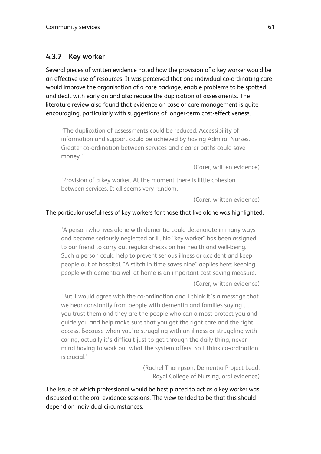### **4.3.7 Key worker**

Several pieces of written evidence noted how the provision of a key worker would be an effective use of resources. It was perceived that one individual co-ordinating care would improve the organisation of a care package, enable problems to be spotted and dealt with early on and also reduce the duplication of assessments. The literature review also found that evidence on case or care management is quite encouraging, particularly with suggestions of longer-term cost-effectiveness.

'The duplication of assessments could be reduced. Accessibility of information and support could be achieved by having Admiral Nurses. Greater co-ordination between services and clearer paths could save money.'

(Carer, written evidence)

'Provision of a key worker. At the moment there is little cohesion between services. It all seems very random.'

(Carer, written evidence)

#### The particular usefulness of key workers for those that live alone was highlighted.

'A person who lives alone with dementia could deteriorate in many ways and become seriously neglected or ill. No "key worker" has been assigned to our friend to carry out regular checks on her health and well-being. Such a person could help to prevent serious illness or accident and keep people out of hospital. "A stitch in time saves nine" applies here; keeping people with dementia well at home is an important cost saving measure.'

(Carer, written evidence)

'But I would agree with the co-ordination and I think it's a message that we hear constantly from people with dementia and families saying … you trust them and they are the people who can almost protect you and guide you and help make sure that you get the right care and the right access. Because when you're struggling with an illness or struggling with caring, actually it's difficult just to get through the daily thing, never mind having to work out what the system offers. So I think co-ordination is crucial.'

> (Rachel Thompson, Dementia Project Lead, Royal College of Nursing, oral evidence)

The issue of which professional would be best placed to act as a key worker was discussed at the oral evidence sessions. The view tended to be that this should depend on individual circumstances.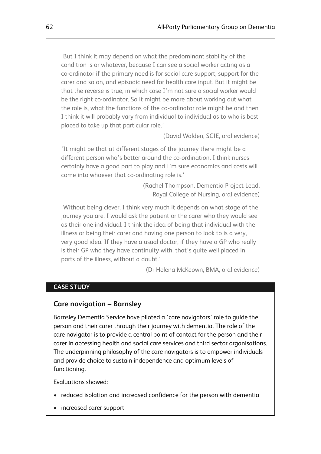'But I think it may depend on what the predominant stability of the condition is or whatever, because I can see a social worker acting as a co-ordinator if the primary need is for social care support, support for the carer and so on, and episodic need for health care input. But it might be that the reverse is true, in which case I'm not sure a social worker would be the right co-ordinator. So it might be more about working out what the role is, what the functions of the co-ordinator role might be and then I think it will probably vary from individual to individual as to who is best placed to take up that particular role.'

(David Walden, SCIE, oral evidence)

'It might be that at different stages of the journey there might be a different person who's better around the co-ordination. I think nurses certainly have a good part to play and I'm sure economics and costs will come into whoever that co-ordinating role is.'

> (Rachel Thompson, Dementia Project Lead, Royal College of Nursing, oral evidence)

'Without being clever, I think very much it depends on what stage of the journey you are. I would ask the patient or the carer who they would see as their one individual. I think the idea of being that individual with the illness or being their carer and having one person to look to is a very, very good idea. If they have a usual doctor, if they have a GP who really is their GP who they have continuity with, that's quite well placed in parts of the illness, without a doubt.'

(Dr Helena McKeown, BMA, oral evidence)

#### **CASE STUDY**

#### **Care navigation – Barnsley**

Barnsley Dementia Service have piloted a 'care navigators' role to guide the person and their carer through their journey with dementia. The role of the care navigator is to provide a central point of contact for the person and their carer in accessing health and social care services and third sector organisations. The underpinning philosophy of the care navigators is to empower individuals and provide choice to sustain independence and optimum levels of functioning.

Evaluations showed:

- reduced isolation and increased confidence for the person with dementia
- increased carer support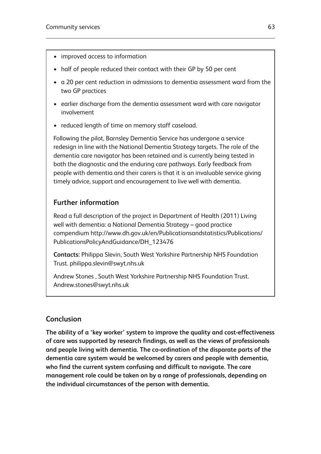- improved access to information
- half of people reduced their contact with their GP by 50 per cent
- a 20 per cent reduction in admissions to dementia assessment ward from the two GP practices
- earlier discharge from the dementia assessment ward with care navigator involvement
- reduced length of time on memory staff caseload.

Following the pilot, Barnsley Dementia Service has undergone a service redesign in line with the National Dementia Strategy targets. The role of the dementia care navigator has been retained and is currently being tested in both the diagnostic and the enduring care pathways. Early feedback from people with dementia and their carers is that it is an invaluable service giving timely advice, support and encouragement to live well with dementia.

## **Further information**

Read a full description of the project in Department of Health (2011) Living well with dementia: a National Dementia Strategy – good practice compendium http://www.dh.gov.uk/en/Publicationsandstatistics/Publications/ PublicationsPolicyAndGuidance/DH\_123476

**Contacts:** Philippa Slevin, South West Yorkshire Partnership NHS Foundation Trust. philippa.slevin@swyt.nhs.uk

Andrew Stones , South West Yorkshire Partnership NHS Foundation Trust. Andrew.stones@swyt.nhs.uk

## **Conclusion**

**The ability of a 'key worker' system to improve the quality and cost-effectiveness of care was supported by research findings, as well as the views of professionals and people living with dementia. The co-ordination of the disparate parts of the dementia care system would be welcomed by carers and people with dementia, who find the current system confusing and difficult to navigate. The care management role could be taken on by a range of professionals, depending on the individual circumstances of the person with dementia.**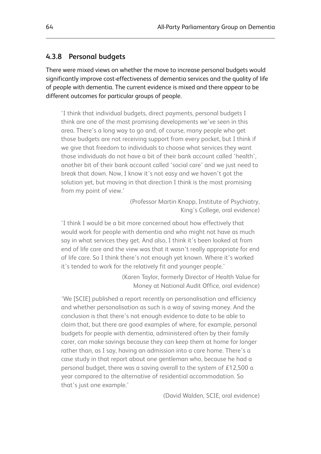#### **4.3.8 Personal budgets**

There were mixed views on whether the move to increase personal budgets would significantly improve cost-effectiveness of dementia services and the quality of life of people with dementia. The current evidence is mixed and there appear to be different outcomes for particular groups of people.

'I think that individual budgets, direct payments, personal budgets I think are one of the most promising developments we've seen in this area. There's a long way to go and, of course, many people who get those budgets are not receiving support from every pocket, but I think if we give that freedom to individuals to choose what services they want those individuals do not have a bit of their bank account called 'health', another bit of their bank account called 'social care' and we just need to break that down. Now, I know it's not easy and we haven't got the solution yet, but moving in that direction I think is the most promising from my point of view.'

> (Professor Martin Knapp, Institute of Psychiatry, King's College, oral evidence)

'I think I would be a bit more concerned about how effectively that would work for people with dementia and who might not have as much say in what services they get. And also, I think it's been looked at from end of life care and the view was that it wasn't really appropriate for end of life care. So I think there's not enough yet known. Where it's worked it's tended to work for the relatively fit and younger people.'

> (Karen Taylor, formerly Director of Health Value for Money at National Audit Office, oral evidence)

'We [SCIE] published a report recently on personalisation and efficiency and whether personalisation as such is a way of saving money. And the conclusion is that there's not enough evidence to date to be able to claim that, but there are good examples of where, for example, personal budgets for people with dementia, administered often by their family carer, can make savings because they can keep them at home for longer rather than, as I say, having an admission into a care home. There's a case study in that report about one gentleman who, because he had a personal budget, there was a saving overall to the system of £12,500 a year compared to the alternative of residential accommodation. So that's just one example.'

(David Walden, SCIE, oral evidence)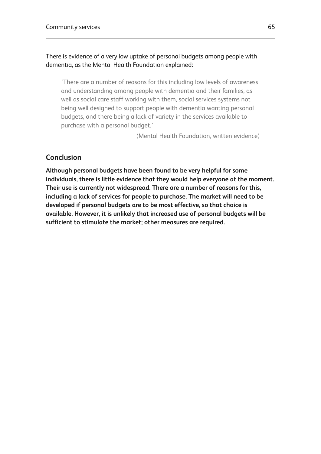#### There is evidence of a very low uptake of personal budgets among people with dementia, as the Mental Health Foundation explained:

'There are a number of reasons for this including low levels of awareness and understanding among people with dementia and their families, as well as social care staff working with them, social services systems not being well designed to support people with dementia wanting personal budgets, and there being a lack of variety in the services available to purchase with a personal budget.'

(Mental Health Foundation, written evidence)

## **Conclusion**

**Although personal budgets have been found to be very helpful for some individuals, there is little evidence that they would help everyone at the moment. Their use is currently not widespread. There are a number of reasons for this, including a lack of services for people to purchase. The market will need to be developed if personal budgets are to be most effective, so that choice is available. However, it is unlikely that increased use of personal budgets will be sufficient to stimulate the market; other measures are required.**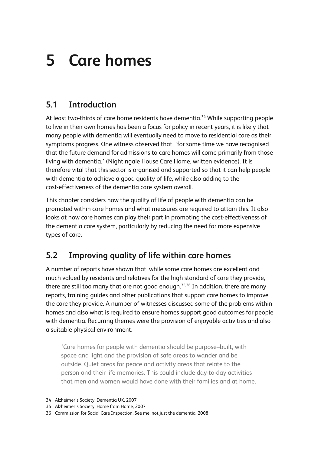# **5 Care homes**

# **5.1 Introduction**

At least two-thirds of care home residents have dementia.<sup>34</sup> While supporting people to live in their own homes has been a focus for policy in recent years, it is likely that many people with dementia will eventually need to move to residential care as their symptoms progress. One witness observed that, 'for some time we have recognised that the future demand for admissions to care homes will come primarily from those living with dementia.' (Nightingale House Care Home, written evidence). It is therefore vital that this sector is organised and supported so that it can help people with dementia to achieve a good quality of life, while also adding to the cost-effectiveness of the dementia care system overall.

This chapter considers how the quality of life of people with dementia can be promoted within care homes and what measures are required to attain this. It also looks at how care homes can play their part in promoting the cost-effectiveness of the dementia care system, particularly by reducing the need for more expensive types of care.

## **5.2 Improving quality of life within care homes**

A number of reports have shown that, while some care homes are excellent and much valued by residents and relatives for the high standard of care they provide, there are still too many that are not good enough.35,36 In addition, there are many reports, training guides and other publications that support care homes to improve the care they provide. A number of witnesses discussed some of the problems within homes and also what is required to ensure homes support good outcomes for people with dementia. Recurring themes were the provision of enjoyable activities and also a suitable physical environment.

'Care homes for people with dementia should be purpose–built, with space and light and the provision of safe areas to wander and be outside. Quiet areas for peace and activity areas that relate to the person and their life memories. This could include day-to-day activities that men and women would have done with their families and at home.

<sup>34</sup> Alzheimer's Society, Dementia UK, 2007

<sup>35</sup> Alzheimer's Society, Home from Home, 2007

<sup>36</sup> Commission for Social Care Inspection, See me, not just the dementia, 2008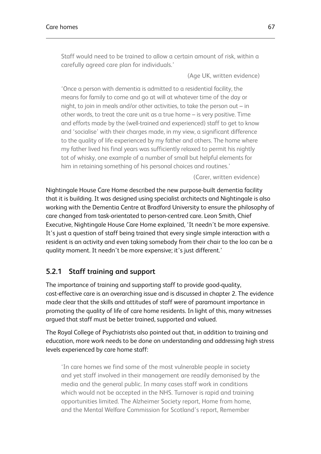Staff would need to be trained to allow a certain amount of risk, within a carefully agreed care plan for individuals.'

(Age UK, written evidence)

'Once a person with dementia is admitted to a residential facility, the means for family to come and go at will at whatever time of the day or night, to join in meals and/or other activities, to take the person out – in other words, to treat the care unit as a true home – is very positive. Time and efforts made by the (well-trained and experienced) staff to get to know and 'socialise' with their charges made, in my view, a significant difference to the quality of life experienced by my father and others. The home where my father lived his final years was sufficiently relaxed to permit his nightly tot of whisky, one example of a number of small but helpful elements for him in retaining something of his personal choices and routines.'

(Carer, written evidence)

Nightingale House Care Home described the new purpose-built dementia facility that it is building. It was designed using specialist architects and Nightingale is also working with the Dementia Centre at Bradford University to ensure the philosophy of care changed from task-orientated to person-centred care. Leon Smith, Chief Executive, Nightingale House Care Home explained, 'It needn't be more expensive. It's just a question of staff being trained that every single simple interaction with a resident is an activity and even taking somebody from their chair to the loo can be a quality moment. It needn't be more expensive; it's just different.'

## **5.2.1 Staff training and support**

The importance of training and supporting staff to provide good-quality, cost-effective care is an overarching issue and is discussed in chapter 2. The evidence made clear that the skills and attitudes of staff were of paramount importance in promoting the quality of life of care home residents. In light of this, many witnesses argued that staff must be better trained, supported and valued.

The Royal College of Psychiatrists also pointed out that, in addition to training and education, more work needs to be done on understanding and addressing high stress levels experienced by care home staff:

'In care homes we find some of the most vulnerable people in society and yet staff involved in their management are readily demonised by the media and the general public. In many cases staff work in conditions which would not be accepted in the NHS. Turnover is rapid and training opportunities limited. The Alzheimer Society report, Home from home, and the Mental Welfare Commission for Scotland's report, Remember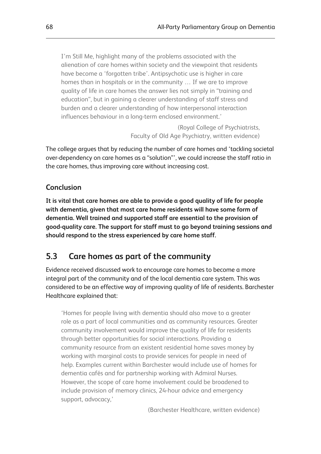I'm Still Me, highlight many of the problems associated with the alienation of care homes within society and the viewpoint that residents have become a 'forgotten tribe'. Antipsychotic use is higher in care homes than in hospitals or in the community … If we are to improve quality of life in care homes the answer lies not simply in "training and education", but in gaining a clearer understanding of staff stress and burden and a clearer understanding of how interpersonal interaction influences behaviour in a long-term enclosed environment.'

> (Royal College of Psychiatrists, Faculty of Old Age Psychiatry, written evidence)

The college argues that by reducing the number of care homes and 'tackling societal over-dependency on care homes as a "solution"', we could increase the staff ratio in the care homes, thus improving care without increasing cost.

## **Conclusion**

**It is vital that care homes are able to provide a good quality of life for people with dementia, given that most care home residents will have some form of dementia. Well trained and supported staff are essential to the provision of good-quality care. The support for staff must to go beyond training sessions and should respond to the stress experienced by care home staff.**

## **5.3 Care homes as part of the community**

Evidence received discussed work to encourage care homes to become a more integral part of the community and of the local dementia care system. This was considered to be an effective way of improving quality of life of residents. Barchester Healthcare explained that:

'Homes for people living with dementia should also move to a greater role as a part of local communities and as community resources. Greater community involvement would improve the quality of life for residents through better opportunities for social interactions. Providing a community resource from an existent residential home saves money by working with marginal costs to provide services for people in need of help. Examples current within Barchester would include use of homes for dementia cafés and for partnership working with Admiral Nurses. However, the scope of care home involvement could be broadened to include provision of memory clinics, 24-hour advice and emergency support, advocacy,'

(Barchester Healthcare, written evidence)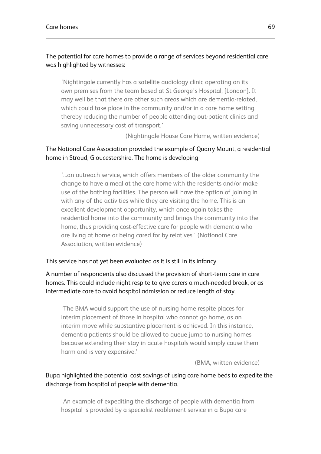#### The potential for care homes to provide a range of services beyond residential care was highlighted by witnesses:

'Nightingale currently has a satellite audiology clinic operating on its own premises from the team based at St George's Hospital, [London]. It may well be that there are other such areas which are dementia-related, which could take place in the community and/or in a care home setting, thereby reducing the number of people attending out-patient clinics and saving unnecessary cost of transport.'

(Nightingale House Care Home, written evidence)

#### The National Care Association provided the example of Quarry Mount, a residential home in Stroud, Gloucestershire. The home is developing

'...an outreach service, which offers members of the older community the change to have a meal at the care home with the residents and/or make use of the bathing facilities. The person will have the option of joining in with any of the activities while they are visiting the home. This is an excellent development opportunity, which once again takes the residential home into the community and brings the community into the home, thus providing cost-effective care for people with dementia who are living at home or being cared for by relatives.' (National Care Association, written evidence)

#### This service has not yet been evaluated as it is still in its infancy.

#### A number of respondents also discussed the provision of short-term care in care homes. This could include night respite to give carers a much-needed break, or as intermediate care to avoid hospital admission or reduce length of stay.

'The BMA would support the use of nursing home respite places for interim placement of those in hospital who cannot go home, as an interim move while substantive placement is achieved. In this instance, dementia patients should be allowed to queue jump to nursing homes because extending their stay in acute hospitals would simply cause them harm and is very expensive.'

(BMA, written evidence)

### Bupa highlighted the potential cost savings of using care home beds to expedite the discharge from hospital of people with dementia.

'An example of expediting the discharge of people with dementia from hospital is provided by a specialist reablement service in a Bupa care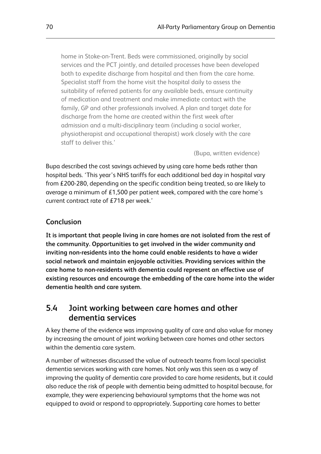home in Stoke-on-Trent. Beds were commissioned, originally by social services and the PCT jointly, and detailed processes have been developed both to expedite discharge from hospital and then from the care home. Specialist staff from the home visit the hospital daily to assess the suitability of referred patients for any available beds, ensure continuity of medication and treatment and make immediate contact with the family, GP and other professionals involved. A plan and target date for discharge from the home are created within the first week after admission and a multi-disciplinary team (including a social worker, physiotherapist and occupational therapist) work closely with the care staff to deliver this.'

(Bupa, written evidence)

Bupa described the cost savings achieved by using care home beds rather than hospital beds. 'This year's NHS tariffs for each additional bed day in hospital vary from £200-280, depending on the specific condition being treated, so are likely to average a minimum of £1,500 per patient week, compared with the care home's current contract rate of £718 per week.'

#### **Conclusion**

**It is important that people living in care homes are not isolated from the rest of the community. Opportunities to get involved in the wider community and inviting non-residents into the home could enable residents to have a wider social network and maintain enjoyable activities. Providing services within the care home to non-residents with dementia could represent an effective use of existing resources and encourage the embedding of the care home into the wider dementia health and care system.**

## **5.4 Joint working between care homes and other dementia services**

A key theme of the evidence was improving quality of care and also value for money by increasing the amount of joint working between care homes and other sectors within the dementia care system.

A number of witnesses discussed the value of outreach teams from local specialist dementia services working with care homes. Not only was this seen as a way of improving the quality of dementia care provided to care home residents, but it could also reduce the risk of people with dementia being admitted to hospital because, for example, they were experiencing behavioural symptoms that the home was not equipped to avoid or respond to appropriately. Supporting care homes to better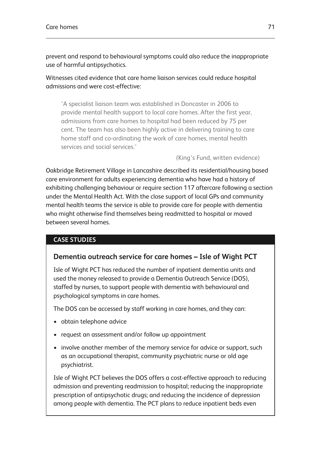prevent and respond to behavioural symptoms could also reduce the inappropriate use of harmful antipsychotics.

Witnesses cited evidence that care home liaison services could reduce hospital admissions and were cost-effective:

'A specialist liaison team was established in Doncaster in 2006 to provide mental health support to local care homes. After the first year, admissions from care homes to hospital had been reduced by 75 per cent. The team has also been highly active in delivering training to care home staff and co-ordinating the work of care homes, mental health services and social services.'

(King's Fund, written evidence)

Oakbridge Retirement Village in Lancashire described its residential/housing based care environment for adults experiencing dementia who have had a history of exhibiting challenging behaviour or require section 117 aftercare following a section under the Mental Health Act. With the close support of local GPs and community mental health teams the service is able to provide care for people with dementia who might otherwise find themselves being readmitted to hospital or moved between several homes.

### **CASE STUDIES**

### **Dementia outreach service for care homes – Isle of Wight PCT**

Isle of Wight PCT has reduced the number of inpatient dementia units and used the money released to provide a Dementia Outreach Service (DOS), staffed by nurses, to support people with dementia with behavioural and psychological symptoms in care homes.

The DOS can be accessed by staff working in care homes, and they can:

- obtain telephone advice
- request an assessment and/or follow up appointment
- involve another member of the memory service for advice or support, such as an occupational therapist, community psychiatric nurse or old age psychiatrist.

Isle of Wight PCT believes the DOS offers a cost-effective approach to reducing admission and preventing readmission to hospital; reducing the inappropriate prescription of antipsychotic drugs; and reducing the incidence of depression among people with dementia. The PCT plans to reduce inpatient beds even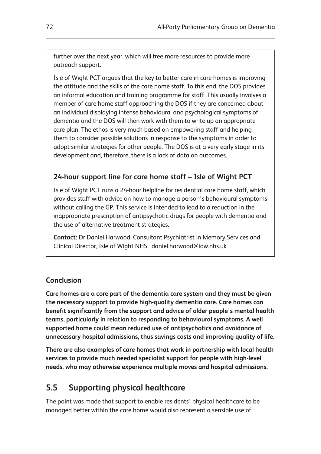further over the next year, which will free more resources to provide more outreach support.

Isle of Wight PCT argues that the key to better care in care homes is improving the attitude and the skills of the care home staff. To this end, the DOS provides an informal education and training programme for staff. This usually involves a member of care home staff approaching the DOS if they are concerned about an individual displaying intense behavioural and psychological symptoms of dementia and the DOS will then work with them to write up an appropriate care plan. The ethos is very much based on empowering staff and helping them to consider possible solutions in response to the symptoms in order to adopt similar strategies for other people. The DOS is at a very early stage in its development and, therefore, there is a lack of data on outcomes.

## **24-hour support line for care home staff – Isle of Wight PCT**

Isle of Wight PCT runs a 24-hour helpline for residential care home staff, which provides staff with advice on how to manage a person's behavioural symptoms without calling the GP. This service is intended to lead to a reduction in the inappropriate prescription of antipsychotic drugs for people with dementia and the use of alternative treatment strategies.

**Contact:** Dr Daniel Harwood, Consultant Psychiatrist in Memory Services and Clinical Director, Isle of Wight NHS. daniel.harwood@iow.nhs.uk

#### **Conclusion**

**Care homes are a core part of the dementia care system and they must be given the necessary support to provide high-quality dementia care. Care homes can benefit significantly from the support and advice of older people's mental health teams, particularly in relation to responding to behavioural symptoms. A well supported home could mean reduced use of antipsychotics and avoidance of unnecessary hospital admissions, thus savings costs and improving quality of life.**

**There are also examples of care homes that work in partnership with local health services to provide much needed specialist support for people with high-level needs, who may otherwise experience multiple moves and hospital admissions.**

## **5.5 Supporting physical healthcare**

The point was made that support to enable residents' physical healthcare to be managed better within the care home would also represent a sensible use of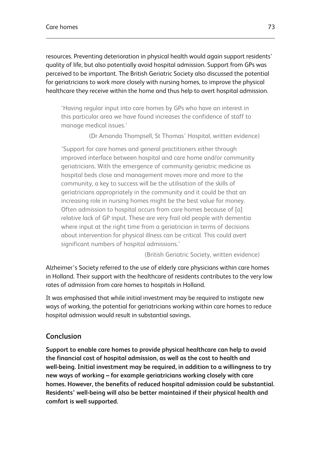resources. Preventing deterioration in physical health would again support residents' quality of life, but also potentially avoid hospital admission. Support from GPs was perceived to be important. The British Geriatric Society also discussed the potential for geriatricians to work more closely with nursing homes, to improve the physical healthcare they receive within the home and thus help to avert hospital admission.

'Having regular input into care homes by GPs who have an interest in this particular area we have found increases the confidence of staff to manage medical issues.'

(Dr Amanda Thompsell, St Thomas' Hospital, written evidence)

'Support for care homes and general practitioners either through improved interface between hospital and care home and/or community geriatricians. With the emergence of community geriatric medicine as hospital beds close and management moves more and more to the community, a key to success will be the utilisation of the skills of geriatricians appropriately in the community and it could be that an increasing role in nursing homes might be the best value for money. Often admission to hospital occurs from care homes because of [a] relative lack of GP input. These are very frail old people with dementia where input at the right time from a geriatrician in terms of decisions about intervention for physical illness can be critical. This could avert significant numbers of hospital admissions.'

(British Geriatric Society, written evidence)

Alzheimer's Society referred to the use of elderly care physicians within care homes in Holland. Their support with the healthcare of residents contributes to the very low rates of admission from care homes to hospitals in Holland.

It was emphasised that while initial investment may be required to instigate new ways of working, the potential for geriatricians working within care homes to reduce hospital admission would result in substantial savings.

## **Conclusion**

**Support to enable care homes to provide physical healthcare can help to avoid the financial cost of hospital admission, as well as the cost to health and well-being. Initial investment may be required, in addition to a willingness to try new ways of working – for example geriatricians working closely with care homes. However, the benefits of reduced hospital admission could be substantial. Residents' well-being will also be better maintained if their physical health and comfort is well supported.**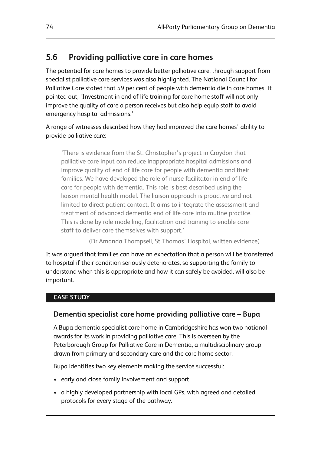## **5.6 Providing palliative care in care homes**

The potential for care homes to provide better palliative care, through support from specialist palliative care services was also highlighted. The National Council for Palliative Care stated that 59 per cent of people with dementia die in care homes. It pointed out, 'Investment in end of life training for care home staff will not only improve the quality of care a person receives but also help equip staff to avoid emergency hospital admissions.'

A range of witnesses described how they had improved the care homes' ability to provide palliative care:

'There is evidence from the St. Christopher's project in Croydon that palliative care input can reduce inappropriate hospital admissions and improve quality of end of life care for people with dementia and their families. We have developed the role of nurse facilitator in end of life care for people with dementia. This role is best described using the liaison mental health model. The liaison approach is proactive and not limited to direct patient contact. It aims to integrate the assessment and treatment of advanced dementia end of life care into routine practice. This is done by role modelling, facilitation and training to enable care staff to deliver care themselves with support.'

(Dr Amanda Thompsell, St Thomas' Hospital, written evidence)

It was argued that families can have an expectation that a person will be transferred to hospital if their condition seriously deteriorates, so supporting the family to understand when this is appropriate and how it can safely be avoided, will also be important.

#### **CASE STUDY**

### **Dementia specialist care home providing palliative care – Bupa**

A Bupa dementia specialist care home in Cambridgeshire has won two national awards for its work in providing palliative care. This is overseen by the Peterborough Group for Palliative Care in Dementia, a multidisciplinary group drawn from primary and secondary care and the care home sector.

Bupa identifies two key elements making the service successful:

- early and close family involvement and support
- a highly developed partnership with local GPs, with agreed and detailed protocols for every stage of the pathway.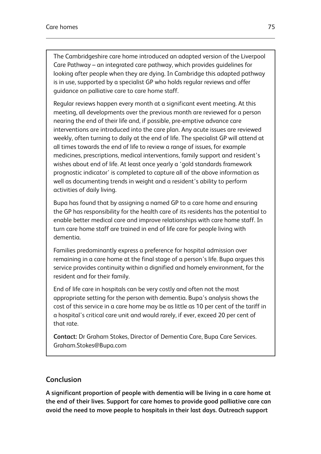The Cambridgeshire care home introduced an adapted version of the Liverpool Care Pathway – an integrated care pathway, which provides guidelines for looking after people when they are dying. In Cambridge this adapted pathway is in use, supported by a specialist GP who holds regular reviews and offer guidance on palliative care to care home staff.

Regular reviews happen every month at a significant event meeting. At this meeting, all developments over the previous month are reviewed for a person nearing the end of their life and, if possible, pre-emptive advance care interventions are introduced into the care plan. Any acute issues are reviewed weekly, often turning to daily at the end of life. The specialist GP will attend at all times towards the end of life to review a range of issues, for example medicines, prescriptions, medical interventions, family support and resident's wishes about end of life. At least once yearly a 'gold standards framework prognostic indicator' is completed to capture all of the above information as well as documenting trends in weight and a resident's ability to perform activities of daily living.

Bupa has found that by assigning a named GP to a care home and ensuring the GP has responsibility for the health care of its residents has the potential to enable better medical care and improve relationships with care home staff. In turn care home staff are trained in end of life care for people living with dementia.

Families predominantly express a preference for hospital admission over remaining in a care home at the final stage of a person's life. Bupa argues this service provides continuity within a dignified and homely environment, for the resident and for their family.

End of life care in hospitals can be very costly and often not the most appropriate setting for the person with dementia. Bupa's analysis shows the cost of this service in a care home may be as little as 10 per cent of the tariff in a hospital's critical care unit and would rarely, if ever, exceed 20 per cent of that rate.

**Contact:** Dr Graham Stokes, Director of Dementia Care, Bupa Care Services. Graham.Stokes@Bupa.com

## **Conclusion**

**A significant proportion of people with dementia will be living in a care home at the end of their lives. Support for care homes to provide good palliative care can avoid the need to move people to hospitals in their last days. Outreach support**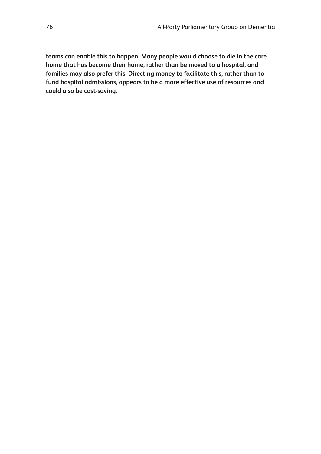**teams can enable this to happen. Many people would choose to die in the care home that has become their home, rather than be moved to a hospital, and families may also prefer this. Directing money to facilitate this, rather than to fund hospital admissions, appears to be a more effective use of resources and could also be cost-saving.**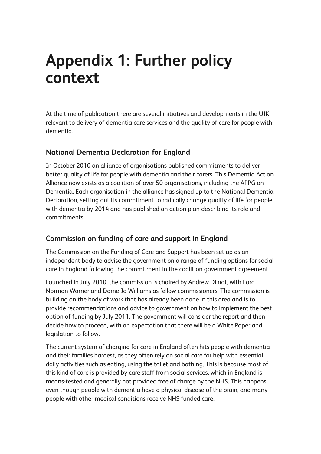# **Appendix 1: Further policy context**

At the time of publication there are several initiatives and developments in the UIK relevant to delivery of dementia care services and the quality of care for people with dementia.

## **National Dementia Declaration for England**

In October 2010 an alliance of organisations published commitments to deliver better quality of life for people with dementia and their carers. This Dementia Action Alliance now exists as a coalition of over 50 organisations, including the APPG on Dementia. Each organisation in the alliance has signed up to the National Dementia Declaration, setting out its commitment to radically change quality of life for people with dementia by 2014 and has published an action plan describing its role and commitments.

## **Commission on funding of care and support in England**

The Commission on the Funding of Care and Support has been set up as an independent body to advise the government on a range of funding options for social care in England following the commitment in the coalition government agreement.

Launched in July 2010, the commission is chaired by Andrew Dilnot, with Lord Norman Warner and Dame Jo Williams as fellow commissioners. The commission is building on the body of work that has already been done in this area and is to provide recommendations and advice to government on how to implement the best option of funding by July 2011. The government will consider the report and then decide how to proceed, with an expectation that there will be a White Paper and legislation to follow.

The current system of charging for care in England often hits people with dementia and their families hardest, as they often rely on social care for help with essential daily activities such as eating, using the toilet and bathing. This is because most of this kind of care is provided by care staff from social services, which in England is means-tested and generally not provided free of charge by the NHS. This happens even though people with dementia have a physical disease of the brain, and many people with other medical conditions receive NHS funded care.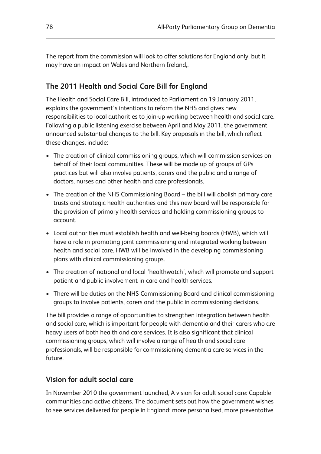The report from the commission will look to offer solutions for England only, but it may have an impact on Wales and Northern Ireland,.

## **The 2011 Health and Social Care Bill for England**

The Health and Social Care Bill, introduced to Parliament on 19 January 2011, explains the government's intentions to reform the NHS and gives new responsibilities to local authorities to join-up working between health and social care. Following a public listening exercise between April and May 2011, the government announced substantial changes to the bill. Key proposals in the bill, which reflect these changes, include:

- The creation of clinical commissioning groups, which will commission services on behalf of their local communities. These will be made up of groups of GPs practices but will also involve patients, carers and the public and a range of doctors, nurses and other health and care professionals.
- The creation of the NHS Commissioning Board the bill will abolish primary care trusts and strategic health authorities and this new board will be responsible for the provision of primary health services and holding commissioning groups to account.
- Local authorities must establish health and well-being boards (HWB), which will have a role in promoting joint commissioning and integrated working between health and social care. HWB will be involved in the developing commissioning plans with clinical commissioning groups.
- The creation of national and local 'healthwatch', which will promote and support patient and public involvement in care and health services.
- There will be duties on the NHS Commissioning Board and clinical commissioning groups to involve patients, carers and the public in commissioning decisions.

The bill provides a range of opportunities to strengthen integration between health and social care, which is important for people with dementia and their carers who are heavy users of both health and care services. It is also significant that clinical commissioning groups, which will involve a range of health and social care professionals, will be responsible for commissioning dementia care services in the future.

#### **Vision for adult social care**

In November 2010 the government launched, A vision for adult social care: Capable communities and active citizens. The document sets out how the government wishes to see services delivered for people in England: more personalised, more preventative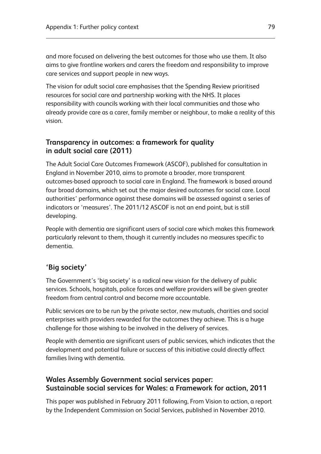and more focused on delivering the best outcomes for those who use them. It also aims to give frontline workers and carers the freedom and responsibility to improve care services and support people in new ways.

The vision for adult social care emphasises that the Spending Review prioritised resources for social care and partnership working with the NHS. It places responsibility with councils working with their local communities and those who already provide care as a carer, family member or neighbour, to make a reality of this vision.

### **Transparency in outcomes: a framework for quality in adult social care (2011)**

The Adult Social Care Outcomes Framework (ASCOF), published for consultation in England in November 2010, aims to promote a broader, more transparent outcomes-based approach to social care in England. The framework is based around four broad domains, which set out the major desired outcomes for social care. Local authorities' performance against these domains will be assessed against a series of indicators or 'measures'. The 2011/12 ASCOF is not an end point, but is still developing.

People with dementia are significant users of social care which makes this framework particularly relevant to them, though it currently includes no measures specific to dementia.

## **'Big society'**

The Government's 'big society' is a radical new vision for the delivery of public services. Schools, hospitals, police forces and welfare providers will be given greater freedom from central control and become more accountable.

Public services are to be run by the private sector, new mutuals, charities and social enterprises with providers rewarded for the outcomes they achieve. This is a huge challenge for those wishing to be involved in the delivery of services.

People with dementia are significant users of public services, which indicates that the development and potential failure or success of this initiative could directly affect families living with dementia.

## **Wales Assembly Government social services paper: Sustainable social services for Wales: a Framework for action, 2011**

This paper was published in February 2011 following, From Vision to action, a report by the Independent Commission on Social Services, published in November 2010.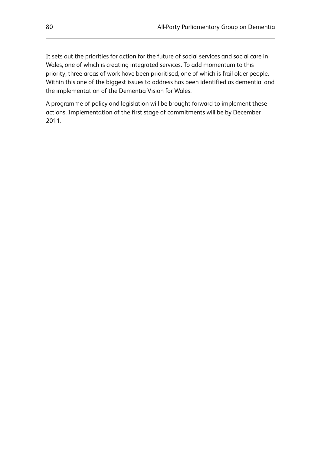It sets out the priorities for action for the future of social services and social care in Wales, one of which is creating integrated services. To add momentum to this priority, three areas of work have been prioritised, one of which is frail older people. Within this one of the biggest issues to address has been identified as dementia, and the implementation of the Dementia Vision for Wales.

A programme of policy and legislation will be brought forward to implement these actions. Implementation of the first stage of commitments will be by December 2011.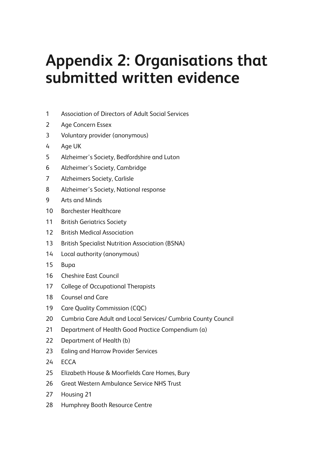# **Appendix 2: Organisations that submitted written evidence**

- 1 Association of Directors of Adult Social Services
- 2 Age Concern Essex
- 3 Voluntary provider (anonymous)
- 4 Age UK
- 5 Alzheimer's Society, Bedfordshire and Luton
- 6 Alzheimer's Society, Cambridge
- 7 Alzheimers Society, Carlisle
- 8 Alzheimer's Society, National response
- 9 Arts and Minds
- 10 Barchester Healthcare
- 11 British Geriatrics Society
- 12 British Medical Association
- 13 British Specialist Nutrition Association (BSNA)
- 14 Local authority (anonymous)
- 15 Bupa
- 16 Cheshire East Council
- 17 College of Occupational Therapists
- 18 Counsel and Care
- 19 Care Quality Commission (CQC)
- 20 Cumbria Care Adult and Local Services/ Cumbria County Council
- 21 Department of Health Good Practice Compendium (a)
- 22 Department of Health (b)
- 23 Ealing and Harrow Provider Services
- 24 ECCA
- 25 Elizabeth House & Moorfields Care Homes, Bury
- 26 Great Western Ambulance Service NHS Trust
- 27 Housing 21
- 28 Humphrey Booth Resource Centre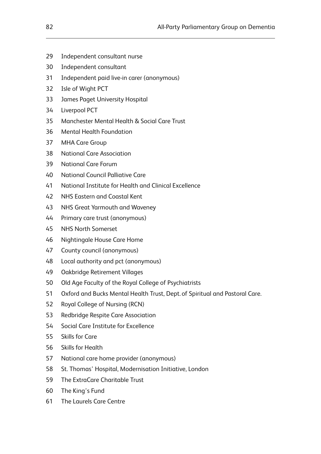- 29 Independent consultant nurse
- 30 Independent consultant
- 31 Independent paid live-in carer (anonymous)
- 32 Isle of Wight PCT
- 33 James Paget University Hospital
- 34 Liverpool PCT
- 35 Manchester Mental Health & Social Care Trust
- 36 Mental Health Foundation
- 37 MHA Care Group
- 38 National Care Association
- 39 National Care Forum
- 40 National Council Palliative Care
- 41 National Institute for Health and Clinical Excellence
- 42 NHS Eastern and Coastal Kent
- 43 NHS Great Yarmouth and Waveney
- 44 Primary care trust (anonymous)
- 45 NHS North Somerset
- 46 Nightingale House Care Home
- 47 County council (anonymous)
- 48 Local authority and pct (anonymous)
- 49 Oakbridge Retirement Villages
- 50 Old Age Faculty of the Royal College of Psychiatrists
- 51 Oxford and Bucks Mental Health Trust, Dept. of Spiritual and Pastoral Care.
- 52 Royal College of Nursing (RCN)
- 53 Redbridge Respite Care Association
- 54 Social Care Institute for Excellence
- 55 Skills for Care
- 56 Skills for Health
- 57 National care home provider (anonymous)
- 58 St. Thomas' Hospital, Modernisation Initiative, London
- 59 The ExtraCare Charitable Trust
- 60 The King's Fund
- 61 The Laurels Care Centre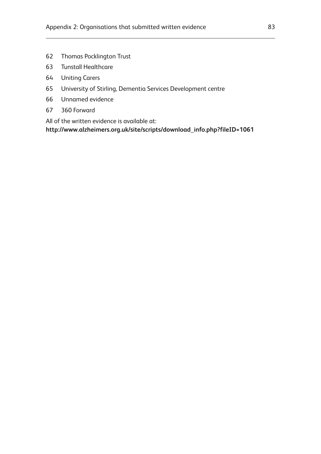- 62 Thomas Pocklington Trust
- 63 Tunstall Healthcare
- 64 Uniting Carers
- 65 University of Stirling, Dementia Services Development centre
- 66 Unnamed evidence
- 67 360 Forward

All of the written evidence is available at:

**http://www.alzheimers.org.uk/site/scripts/download\_info.php?fileID=1061**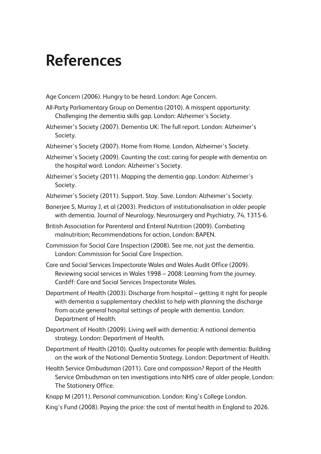# **References**

Age Concern (2006). Hungry to be heard. London: Age Concern.

- All-Party Parliamentary Group on Dementia (2010). A misspent opportunity: Challenging the dementia skills gap. London: Alzheimer's Society.
- Alzheimer's Society (2007). Dementia UK: The full report. London: Alzheimer's Society.
- Alzheimer's Society (2007). Home from Home. London, Alzheimer's Society.
- Alzheimer's Society (2009). Counting the cost: caring for people with dementia on the hospital ward. London: Alzheimer's Society.
- Alzheimer's Society (2011). Mapping the dementia gap. London: Alzheimer's Society.
- Alzheimer's Society (2011). Support. Stay. Save. London: Alzheimer's Society.
- Banerjee S, Murray J, et al (2003). Predictors of institutionalisation in older people with dementia. Journal of Neurology, Neurosurgery and Psychiatry, 74, 1315-6.
- British Association for Parenteral and Enteral Nutrition (2009). Combating malnutrition; Recommendations for action, London: BAPEN.
- Commission for Social Care Inspection (2008). See me, not just the dementia. London: Commission for Social Care Inspection.
- Care and Social Services Inspectorate Wales and Wales Audit Office (2009). Reviewing social services in Wales 1998 – 2008: Learning from the journey. Cardiff: Care and Social Services Inspectorate Wales.
- Department of Health (2003). Discharge from hospital getting it right for people with dementia a supplementary checklist to help with planning the discharge from acute general hospital settings of people with dementia. London: Department of Health.
- Department of Health (2009). Living well with dementia: A national dementia strategy. London: Department of Health.
- Department of Health (2010). Quality outcomes for people with dementia: Building on the work of the National Dementia Strategy. London: Department of Health.
- Health Service Ombudsman (2011). Care and compassion? Report of the Health Service Ombudsman on ten investigations into NHS care of older people. London: The Stationery Office.
- Knapp M (2011). Personal communication. London: King's College London.
- King's Fund (2008). Paying the price: the cost of mental health in England to 2026.